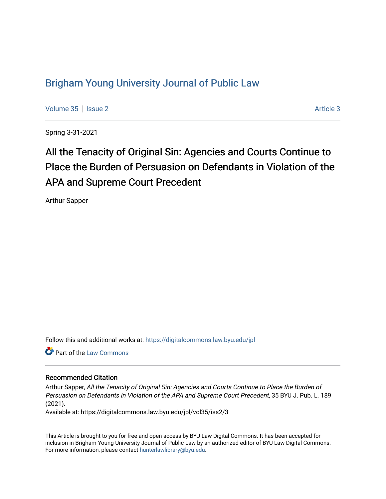# [Brigham Young University Journal of Public Law](https://digitalcommons.law.byu.edu/jpl)

[Volume 35](https://digitalcommons.law.byu.edu/jpl/vol35) | [Issue 2](https://digitalcommons.law.byu.edu/jpl/vol35/iss2) Article 3

Spring 3-31-2021

# All the Tenacity of Original Sin: Agencies and Courts Continue to Place the Burden of Persuasion on Defendants in Violation of the APA and Supreme Court Precedent

Arthur Sapper

Follow this and additional works at: [https://digitalcommons.law.byu.edu/jpl](https://digitalcommons.law.byu.edu/jpl?utm_source=digitalcommons.law.byu.edu%2Fjpl%2Fvol35%2Fiss2%2F3&utm_medium=PDF&utm_campaign=PDFCoverPages) 

**C** Part of the [Law Commons](http://network.bepress.com/hgg/discipline/578?utm_source=digitalcommons.law.byu.edu%2Fjpl%2Fvol35%2Fiss2%2F3&utm_medium=PDF&utm_campaign=PDFCoverPages)

#### Recommended Citation

Arthur Sapper, All the Tenacity of Original Sin: Agencies and Courts Continue to Place the Burden of Persuasion on Defendants in Violation of the APA and Supreme Court Precedent, 35 BYU J. Pub. L. 189 (2021).

Available at: https://digitalcommons.law.byu.edu/jpl/vol35/iss2/3

This Article is brought to you for free and open access by BYU Law Digital Commons. It has been accepted for inclusion in Brigham Young University Journal of Public Law by an authorized editor of BYU Law Digital Commons. For more information, please contact [hunterlawlibrary@byu.edu](mailto:hunterlawlibrary@byu.edu).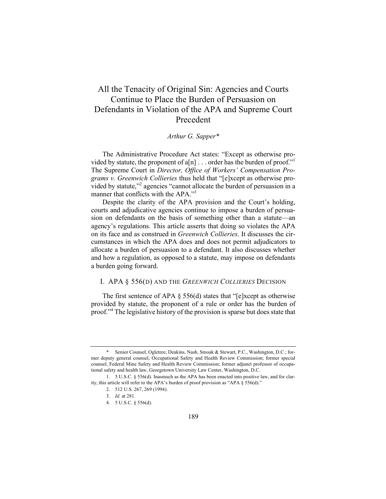## All the Tenacity of Original Sin: Agencies and Courts Continue to Place the Burden of Persuasion on Defendants in Violation of the APA and Supreme Court Precedent

#### *Arthur G. Sapper\**

The Administrative Procedure Act states: "Except as otherwise provided by statute, the proponent of  $a[n]$ ... order has the burden of proof." The Supreme Court in *Director, Office of Workers' Compensation Programs v. Greenwich Collieries* thus held that "[e]xcept as otherwise provided by statute,"<sup>2</sup> agencies "cannot allocate the burden of persuasion in a manner that conflicts with the APA."<sup>3</sup>

Despite the clarity of the APA provision and the Court's holding, courts and adjudicative agencies continue to impose a burden of persuasion on defendants on the basis of something other than a statute—an agency's regulations. This article asserts that doing so violates the APA on its face and as construed in *Greenwich Collieries*. It discusses the circumstances in which the APA does and does not permit adjudicators to allocate a burden of persuasion to a defendant. It also discusses whether and how a regulation, as opposed to a statute, may impose on defendants a burden going forward.

#### I. APA § 556(D) AND THE *GREENWICH COLLIERIES* DECISION

The first sentence of APA  $\S$  556(d) states that "[e]xcept as otherwise provided by statute, the proponent of a rule or order has the burden of proof."<sup>4</sup> The legislative history of the provision is sparse but does state that

Senior Counsel, Ogletree, Deakins, Nash, Smoak & Stewart, P.C., Washington, D.C.; former deputy general counsel, Occupational Safety and Health Review Commission; former special counsel, Federal Mine Safety and Health Review Commission; former adjunct professor of occupational safety and health law, Georgetown University Law Center, Washington, D.C.

<sup>1.</sup> 5 U.S.C. § 556(d). Inasmuch as the APA has been enacted into positive law, and for clarity, this article will refer to the APA's burden of proof provision as "APA § 556(d)."

<sup>2.</sup> 512 U.S. 267, 269 (1994).

<sup>3.</sup> *Id.* at 281.

<sup>4.</sup> 5 U.S.C. § 556(d).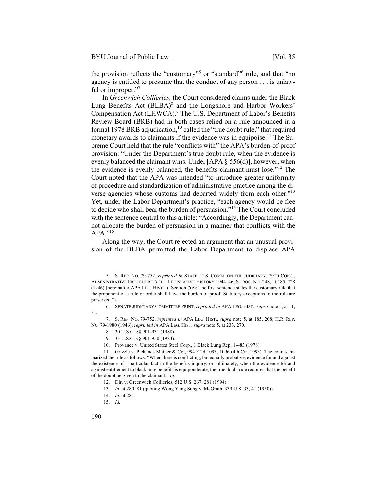the provision reflects the "customary"<sup>5</sup> or "standard"<sup>6</sup> rule, and that "no agency is entitled to presume that the conduct of any person . . . is unlawful or improper."

In *Greenwich Collieries,* the Court considered claims under the Black Lung Benefits Act (BLBA)<sup>8</sup> and the Longshore and Harbor Workers' Compensation Act (LHWCA).<sup>9</sup> The U.S. Department of Labor's Benefits Review Board (BRB) had in both cases relied on a rule announced in a formal 1978 BRB adjudication,<sup>10</sup> called the "true doubt rule," that required monetary awards to claimants if the evidence was in equipoise.<sup>11</sup> The Supreme Court held that the rule "conflicts with" the APA's burden-of-proof provision: "Under the Department's true doubt rule, when the evidence is evenly balanced the claimant wins. Under  $[APA \S 556(d)]$ , however, when the evidence is evenly balanced, the benefits claimant must lose."<sup>12</sup> The Court noted that the APA was intended "to introduce greater uniformity of procedure and standardization of administrative practice among the diverse agencies whose customs had departed widely from each other."<sup>13</sup> Yet, under the Labor Department's practice, "each agency would be free to decide who shall bear the burden of persuasion."<sup>14</sup> The Court concluded with the sentence central to this article: "Accordingly, the Department cannot allocate the burden of persuasion in a manner that conflicts with the  $APA.$ "<sup>15</sup>

Along the way, the Court rejected an argument that an unusual provision of the BLBA permitted the Labor Department to displace APA

<sup>5.</sup> S. REP. NO. 79-752, *reprinted in* STAFF OF S. COMM. ON THE JUDICIARY, 79TH CONG., ADMINISTRATIVE PROCEDURE ACT—LEGISLATIVE HISTORY 1944–46, S. DOC. NO. 248, at 185, 228 (1946) [hereinafter APA LEG. HIST.] ("Section 7(c): The first sentence states the customary rule that the proponent of a rule or order shall have the burden of proof. Statutory exceptions to the rule are preserved.").

<sup>6.</sup> SENATE JUDICIARY COMMITTEE PRINT, *reprinted in* APA LEG. HIST., *supra* note 5, at 11, 31.

<sup>7.</sup> S. REP. NO. 79-752, *reprinted in* APA LEG. HIST., *supra* note 5, at 185, 208; H.R. REP. NO. 79-1980 (1946), *reprinted in* APA LEG. HIST. *supra* note 5, at 233, 270.

<sup>8. 30</sup> U.S.C. §§ 901-931 (1988).

<sup>9.</sup> 33 U.S.C. §§ 901-950 (1984).

<sup>10.</sup> Provance v. United States Steel Corp*.*, 1 Black Lung Rep. 1-483 (1978).

<sup>11.</sup> Grizzle v. Pickands Mather & Co*.*, 994 F.2d 1093, 1096 (4th Cir. 1993). The court summarized the rule as follows: "When there is conflicting, but equally probative, evidence for and against the existence of a particular fact in the benefits inquiry, or, ultimately, when the evidence for and against entitlement to black lung benefits is equiponderate, the true doubt rule requires that the benefit of the doubt be given to the claimant." *Id.*

<sup>12.</sup> Dir. v. Greenwich Collieries, 512 U.S. 267, 281 (1994).

<sup>13.</sup> *Id.* at 280–81 (quoting Wong Yang Sung v. McGrath, 339 U.S. 33, 41 (1950)).

<sup>14.</sup> *Id.* at 281.

<sup>15.</sup> *Id.*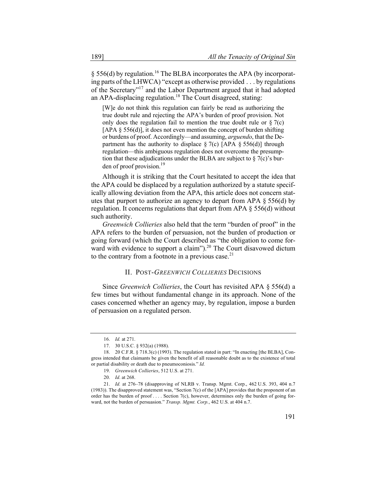$\S$  556(d) by regulation.<sup>16</sup> The BLBA incorporates the APA (by incorporating parts of the LHWCA) "except as otherwise provided . . . by regulations of the Secretary"<sup>17</sup> and the Labor Department argued that it had adopted an APA-displacing regulation.<sup>18</sup> The Court disagreed, stating:

[W]e do not think this regulation can fairly be read as authorizing the true doubt rule and rejecting the APA's burden of proof provision. Not only does the regulation fail to mention the true doubt rule or  $\S(7c)$ [APA  $\S$  556(d)], it does not even mention the concept of burden shifting or burdens of proof. Accordingly—and assuming, *arguendo*, that the Department has the authority to displace  $\S 7(c)$  [APA  $\S 556(d)$ ] through regulation—this ambiguous regulation does not overcome the presumption that these adjudications under the BLBA are subject to  $\S$  7(c)'s burden of proof provision.<sup>19</sup>

Although it is striking that the Court hesitated to accept the idea that the APA could be displaced by a regulation authorized by a statute specifically allowing deviation from the APA, this article does not concern statutes that purport to authorize an agency to depart from APA  $\S 556(d)$  by regulation. It concerns regulations that depart from APA § 556(d) without such authority.

*Greenwich Collieries* also held that the term "burden of proof" in the APA refers to the burden of persuasion, not the burden of production or going forward (which the Court described as "the obligation to come forward with evidence to support a claim"). $20$  The Court disavowed dictum to the contrary from a footnote in a previous case.<sup>21</sup>

#### II. POST-*GREENWICH COLLIERIES* DECISIONS

Since *Greenwich Collieries*, the Court has revisited APA § 556(d) a few times but without fundamental change in its approach. None of the cases concerned whether an agency may, by regulation, impose a burden of persuasion on a regulated person.

<sup>16.</sup> *Id.* at 271.

<sup>17.</sup> 30 U.S.C. § 932(a) (1988).

<sup>18.</sup> 20 C.F.R. § 718.3(c) (1993). The regulation stated in part: "In enacting [the BLBA], Congress intended that claimants be given the benefit of all reasonable doubt as to the existence of total or partial disability or death due to pneumoconiosis." *Id.*

<sup>19.</sup> *Greenwich Collieries*, 512 U.S. at 271.

<sup>20.</sup> *Id*. at 268.

<sup>21.</sup> *Id.* at 276–78 (disapproving of NLRB v. Transp. Mgmt. Corp., 462 U.S. 393, 404 n.7 (1983)). The disapproved statement was, "Section 7(c) of the [APA] provides that the proponent of an order has the burden of proof . . . . Section 7(c), however, determines only the burden of going forward, not the burden of persuasion." *Transp. Mgmt. Corp.*, 462 U.S. at 404 n.7.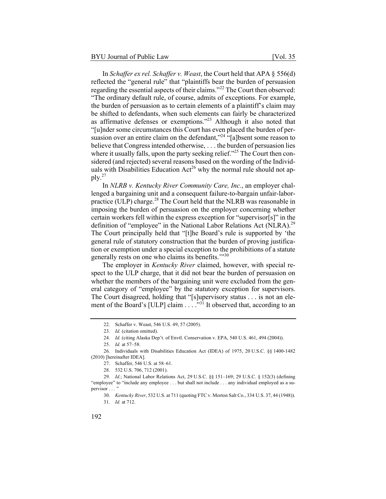In *Schaffer ex rel. Schaffer v. Weast*, the Court held that APA § 556(d) reflected the "general rule" that "plaintiffs bear the burden of persuasion regarding the essential aspects of their claims."<sup>22</sup> The Court then observed: "The ordinary default rule, of course, admits of exceptions. For example, the burden of persuasion as to certain elements of a plaintiff's claim may be shifted to defendants, when such elements can fairly be characterized as affirmative defenses or exemptions."23 Although it also noted that "[u]nder some circumstances this Court has even placed the burden of persuasion over an entire claim on the defendant,"<sup>24</sup> "[a]bsent some reason to believe that Congress intended otherwise, . . . the burden of persuasion lies where it usually falls, upon the party seeking relief."<sup>25</sup> The Court then considered (and rejected) several reasons based on the wording of the Individuals with Disabilities Education  $Act^{26}$  why the normal rule should not ap $p\vert v^{27}$ 

In *NLRB v. Kentucky River Community Care, Inc.*, an employer challenged a bargaining unit and a consequent failure-to-bargain unfair-laborpractice (ULP) charge.<sup>28</sup> The Court held that the NLRB was reasonable in imposing the burden of persuasion on the employer concerning whether certain workers fell within the express exception for "supervisor[s]" in the definition of "employee" in the National Labor Relations Act (NLRA).<sup>29</sup> The Court principally held that "[t]he Board's rule is supported by 'the general rule of statutory construction that the burden of proving justification or exemption under a special exception to the prohibitions of a statute generally rests on one who claims its benefits."<sup>30</sup>

The employer in *Kentucky River* claimed, however, with special respect to the ULP charge, that it did not bear the burden of persuasion on whether the members of the bargaining unit were excluded from the general category of "employee" by the statutory exception for supervisors. The Court disagreed, holding that "[s]upervisory status . . . is not an element of the Board's [ULP] claim . . . . .<sup>331</sup> It observed that, according to an

<sup>22.</sup> Schaffer v. Weast, 546 U.S. 49, 57 (2005).

<sup>23.</sup> *Id.* (citation omitted).

<sup>24.</sup> *Id.* (citing Alaska Dep't. of Envtl. Conservation v. EPA, 540 U.S. 461, 494 (2004)).

<sup>25.</sup> *Id.* at 57–58.

<sup>26.</sup> Individuals with Disabilities Education Act (IDEA) of 1975, 20 U.S.C. §§ 1400-1482 (2010) [hereinafter IDEA].

<sup>27.</sup> Schaffer, 546 U.S. at 58–61.

<sup>28.</sup> 532 U.S. 706, 712 (2001).

<sup>29.</sup> *Id.*; National Labor Relations Act, 29 U.S.C. §§ 151–169; 29 U.S.C. § 152(3) (defining "employee" to "include any employee . . . but shall not include . . . any individual employed as a su $pervisor \ldots$ 

<sup>30.</sup> *Kentucky River*, 532 U.S. at 711 (quoting FTC v. Morton Salt Co., 334 U.S. 37, 44 (1948)). 31. *Id.* at 712.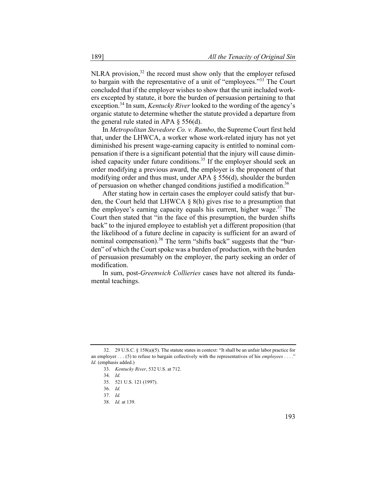NLRA provision, $3<sup>2</sup>$  the record must show only that the employer refused to bargain with the representative of a unit of "employees."<sup>33</sup> The Court concluded that if the employer wishes to show that the unit included workers excepted by statute, it bore the burden of persuasion pertaining to that exception.<sup>34</sup> In sum, *Kentucky River* looked to the wording of the agency's organic statute to determine whether the statute provided a departure from the general rule stated in APA  $\S$  556(d).

In *Metropolitan Stevedore Co. v. Rambo*, the Supreme Court first held that, under the LHWCA, a worker whose work-related injury has not yet diminished his present wage-earning capacity is entitled to nominal compensation if there is a significant potential that the injury will cause diminished capacity under future conditions.<sup>35</sup> If the employer should seek an order modifying a previous award, the employer is the proponent of that modifying order and thus must, under APA § 556(d), shoulder the burden of persuasion on whether changed conditions justified a modification.<sup>36</sup>

After stating how in certain cases the employer could satisfy that burden, the Court held that LHWCA  $\S$  8(h) gives rise to a presumption that the employee's earning capacity equals his current, higher wage.<sup>37</sup> The Court then stated that "in the face of this presumption, the burden shifts back" to the injured employee to establish yet a different proposition (that the likelihood of a future decline in capacity is sufficient for an award of nominal compensation).<sup>38</sup> The term "shifts back" suggests that the "burden" of which the Court spoke was a burden of production, with the burden of persuasion presumably on the employer, the party seeking an order of modification.

In sum, post-*Greenwich Collieries* cases have not altered its fundamental teachings.

<sup>32.</sup> 29 U.S.C. § 158(a)(5). The statute states in context: "It shall be an unfair labor practice for an employer . . . (5) to refuse to bargain collectively with the representatives of his *employees* . . . ." *Id.* (emphasis added.)

<sup>33.</sup> *Kentucky River*, 532 U.S. at 712.

<sup>34.</sup> *Id.*

<sup>35.</sup> 521 U.S. 121 (1997).

<sup>36.</sup> *Id.*

<sup>37.</sup> *Id.*

<sup>38.</sup> *Id.* at 139.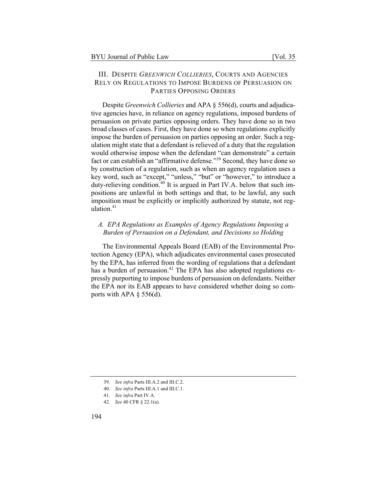#### III. DESPITE *GREENWICH COLLIERIES*, COURTS AND AGENCIES RELY ON REGULATIONS TO IMPOSE BURDENS OF PERSUASION ON PARTIES OPPOSING ORDERS

Despite *Greenwich Collieries* and APA § 556(d), courts and adjudicative agencies have, in reliance on agency regulations, imposed burdens of persuasion on private parties opposing orders. They have done so in two broad classes of cases. First, they have done so when regulations explicitly impose the burden of persuasion on parties opposing an order. Such a regulation might state that a defendant is relieved of a duty that the regulation would otherwise impose when the defendant "can demonstrate" a certain fact or can establish an "affirmative defense."<sup>39</sup> Second, they have done so by construction of a regulation, such as when an agency regulation uses a key word, such as "except," "unless," "but" or "however," to introduce a duty-relieving condition.<sup>40</sup> It is argued in Part IV.A. below that such impositions are unlawful in both settings and that, to be lawful, any such imposition must be explicitly or implicitly authorized by statute, not regulation.<sup>41</sup>

## *A. EPA Regulations as Examples of Agency Regulations Imposing a Burden of Persuasion on a Defendant, and Decisions so Holding*

The Environmental Appeals Board (EAB) of the Environmental Protection Agency (EPA), which adjudicates environmental cases prosecuted by the EPA, has inferred from the wording of regulations that a defendant has a burden of persuasion.<sup>42</sup> The EPA has also adopted regulations expressly purporting to impose burdens of persuasion on defendants. Neither the EPA nor its EAB appears to have considered whether doing so comports with APA  $\S$  556(d).

<sup>39.</sup> *See infra* Parts III.A.2 and III.C.2.

<sup>40.</sup> *See infra* Parts III.A.1 and III.C.1.

<sup>41.</sup> *See infra* Part IV.A.

<sup>42.</sup> *See* 40 CFR § 22.1(a).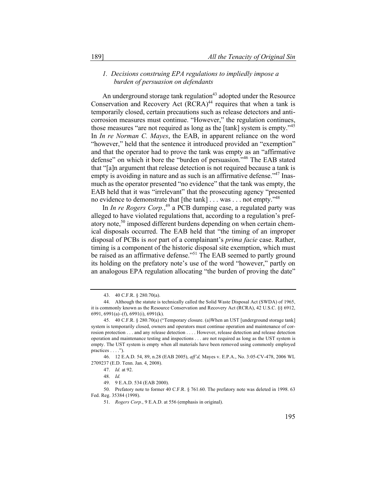#### *1. Decisions construing EPA regulations to impliedly impose a burden of persuasion on defendants*

An underground storage tank regulation<sup>43</sup> adopted under the Resource Conservation and Recovery Act  $(RCRA)^{44}$  requires that when a tank is temporarily closed, certain precautions such as release detectors and anticorrosion measures must continue. "However," the regulation continues, those measures "are not required as long as the [tank] system is empty."<sup>45</sup> In *In re Norman C. Mayes*, the EAB, in apparent reliance on the word "however," held that the sentence it introduced provided an "exemption" and that the operator had to prove the tank was empty as an "affirmative defense" on which it bore the "burden of persuasion."<sup>46</sup> The EAB stated that "[a]n argument that release detection is not required because a tank is empty is avoiding in nature and as such is an affirmative defense."<sup>47</sup> Inasmuch as the operator presented "no evidence" that the tank was empty, the EAB held that it was "irrelevant" that the prosecuting agency "presented no evidence to demonstrate that [the tank]  $\dots$  was  $\dots$  not empty.<sup>748</sup>

In *In re Rogers Corp.*, <sup>49</sup> a PCB dumping case, a regulated party was alleged to have violated regulations that, according to a regulation's prefatory note,<sup>50</sup> imposed different burdens depending on when certain chemical disposals occurred. The EAB held that "the timing of an improper disposal of PCBs is *not* part of a complainant's *prima facie* case. Rather, timing is a component of the historic disposal site exemption, which must be raised as an affirmative defense."<sup>51</sup> The EAB seemed to partly ground its holding on the prefatory note's use of the word "however," partly on an analogous EPA regulation allocating "the burden of proving the date"

<sup>43.</sup> 40 C.F.R. § 280.70(a).

<sup>44.</sup> Although the statute is technically called the Solid Waste Disposal Act (SWDA) of 1965, it is commonly known as the Resource Conservation and Recovery Act (RCRA), 42 U.S.C. §§ 6912, 6991, 6991(a)–(f), 6991(i), 6991(k).

<sup>45.</sup> 40 C.F.R. § 280.70(a) ("Temporary closure. (a)When an UST [underground storage tank] system is temporarily closed, owners and operators must continue operation and maintenance of corrosion protection . . . and any release detection . . . . However, release detection and release detection operation and maintenance testing and inspections . . . are not required as long as the UST system is empty. The UST system is empty when all materials have been removed using commonly employed practices . . . .").

<sup>46.</sup> 12 E.A.D. 54, 89, n.28 (EAB 2005), *aff'd,* Mayes v. E.P.A., No. 3:05-CV-478, 2006 WL 2709237 (E.D. Tenn. Jan. 4, 2008).

<sup>47.</sup> *Id.* at 92.

<sup>48.</sup> *Id.*

<sup>49.</sup> 9 E.A.D. 534 (EAB 2000).

<sup>50.</sup> Prefatory note to former 40 C.F.R. § 761.60. The prefatory note was deleted in 1998. 63 Fed. Reg. 35384 (1998).

<sup>51.</sup> *Rogers Corp.*, 9 E.A.D. at 556 (emphasis in original).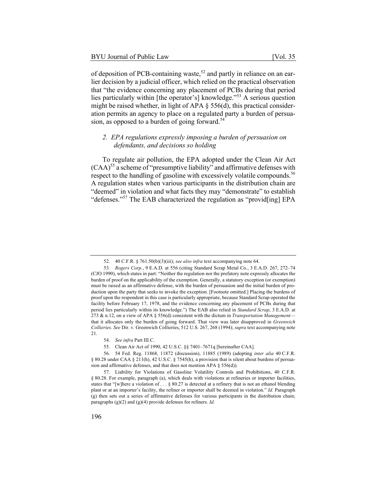of deposition of PCB-containing waste,<sup>52</sup> and partly in reliance on an earlier decision by a judicial officer, which relied on the practical observation that "the evidence concerning any placement of PCBs during that period lies particularly within [the operator's] knowledge."<sup>53</sup> A serious question might be raised whether, in light of APA § 556(d), this practical consideration permits an agency to place on a regulated party a burden of persuasion, as opposed to a burden of going forward.<sup>54</sup>

## *2. EPA regulations expressly imposing a burden of persuasion on defendants, and decisions so holding*

To regulate air pollution, the EPA adopted under the Clean Air Act  $(CAA)^{55}$  a scheme of "presumptive liability" and affirmative defenses with respect to the handling of gasoline with excessively volatile compounds.<sup>56</sup> A regulation states when various participants in the distribution chain are "deemed" in violation and what facts they may "demonstrate" to establish "defenses."<sup>57</sup> The EAB characterized the regulation as "provid[ing] EPA

<sup>52.</sup> 40 C.F.R. § 761.50(b)(3)(iii); *see also infra* text accompanying note 64.

<sup>53</sup>*. Rogers Corp.*, 9 E.A.D. at 556 (citing Standard Scrap Metal Co*.*, 3 E.A.D. 267, 272–74 (CJO 1990), which states in part: "Neither the regulation nor the prefatory note expressly allocates the burden of proof on the applicability of the exemption. Generally, a statutory exception (or exemption) must be raised as an affirmative defense, with the burden of persuasion and the initial burden of production upon the party that seeks to invoke the exception. [Footnote omitted.] Placing the burdens of proof upon the respondent in this case is particularly appropriate, because Standard Scrap operated the facility before February 17, 1978, and the evidence concerning any placement of PCBs during that period lies particularly within its knowledge.") The EAB also relied in *Standard Scrap*, 3 E.A.D. at 273 & n.12, on a view of APA § 556(d) consistent with the dictum in *Transportation Management* that it allocates only the burden of going forward. That view was later disapproved in *Greenwich Collieries*. *See* Dir. v. Greenwich Collieries, 512 U.S. 267, 268 (1994); *supra* text accompanying note 21.

<sup>54.</sup> *See infra* Part III.C.

<sup>55.</sup> Clean Air Act of 1990, 42 U.S.C. §§ 7401–7671q [hereinafter CAA].

<sup>56.</sup> 54 Fed. Reg. 11868, 11872 (discussion), 11885 (1989) (adopting *inter alia* 40 C.F.R. § 80.28 under CAA § 211(h), 42 U.S.C. § 7545(h), a provision that is silent about burdens of persuasion and affirmative defenses, and that does not mention APA § 556(d)).

<sup>57.</sup> Liability for Violations of Gasoline Volatility Controls and Prohibitions, 40 C.F.R. § 80.28. For example, paragraph (a), which deals with violations at refineries or importer facilities, states that "[w]here a violation of . . . § 80.27 is detected at a refinery that is not an ethanol blending plant or at an importer's facility, the refiner or importer shall be deemed in violation." *Id.* Paragraph (g) then sets out a series of affirmative defenses for various participants in the distribution chain; paragraphs (g)(2) and (g)(4) provide defenses for refiners. *Id.*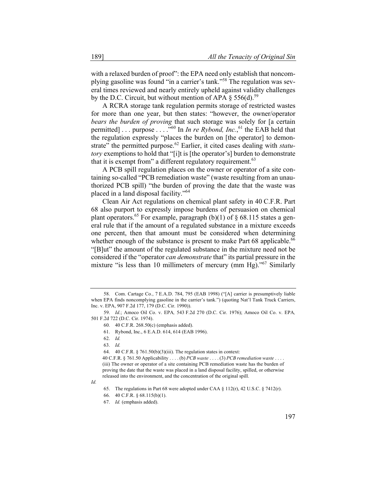with a relaxed burden of proof": the EPA need only establish that noncomplying gasoline was found "in a carrier's tank."58 The regulation was several times reviewed and nearly entirely upheld against validity challenges by the D.C. Circuit, but without mention of APA  $\S 556(d)$ .<sup>59</sup>

A RCRA storage tank regulation permits storage of restricted wastes for more than one year, but then states: "however, the owner/operator *bears the burden of proving* that such storage was solely for [a certain permitted] . . . purpose . . . ."<sup>60</sup> In *In re Rybond, Inc.*, <sup>61</sup> the EAB held that the regulation expressly "places the burden on [the operator] to demonstrate" the permitted purpose.<sup>62</sup> Earlier, it cited cases dealing with *statutory* exemptions to hold that "[i]t is [the operator's] burden to demonstrate that it is exempt from" a different regulatory requirement.  $63$ 

A PCB spill regulation places on the owner or operator of a site containing so-called "PCB remediation waste" (waste resulting from an unauthorized PCB spill) "the burden of proving the date that the waste was placed in a land disposal facility."64

Clean Air Act regulations on chemical plant safety in 40 C.F.R. Part 68 also purport to expressly impose burdens of persuasion on chemical plant operators.<sup>65</sup> For example, paragraph (b)(1) of  $\S$  68.115 states a general rule that if the amount of a regulated substance in a mixture exceeds one percent, then that amount must be considered when determining whether enough of the substance is present to make Part  $68$  applicable.<sup>66</sup> "[B]ut" the amount of the regulated substance in the mixture need not be considered if the "operator *can demonstrate* that" its partial pressure in the mixture "is less than 10 millimeters of mercury (mm Hg)."<sup>67</sup> Similarly

62. *Id.*

63. *Id.*

*Id.*

<sup>58.</sup> Com. Cartage Co*.*, 7 E.A.D. 784, 795 (EAB 1998) ("[A] carrier is presumptively liable when EPA finds noncomplying gasoline in the carrier's tank.") (quoting Nat'l Tank Truck Carriers, Inc. v. EPA, 907 F.2d 177, 179 (D.C. Cir. 1990)).

<sup>59.</sup> *Id.*; Amoco Oil Co. v. EPA*,* 543 F.2d 270 (D.C. Cir. 1976); Amoco Oil Co. v. EPA*,* 501 F.2d 722 (D.C. Cir. 1974).

<sup>60.</sup> 40 C.F.R. 268.50(c) (emphasis added).

<sup>61.</sup> Rybond, Inc., 6 E.A.D. 614, 614 (EAB 1996).

<sup>64.</sup> 40 C.F.R. § 761.50(b)(3)(iii). The regulation states in context:

<sup>40</sup> C.F.R. § 761.50 Applicability . . . . (b) *PCB waste* . . . . (3) *PCB remediation waste* . . . . (iii) The owner or operator of a site containing PCB remediation waste has the burden of proving the date that the waste was placed in a land disposal facility, spilled, or otherwise released into the environment, and the concentration of the original spill.

<sup>65.</sup> The regulations in Part 68 were adopted under CAA § 112(r), 42 U.S.C. § 7412(r).

<sup>66.</sup> 40 C.F.R. § 68.115(b)(1).

<sup>67.</sup> *Id.* (emphasis added).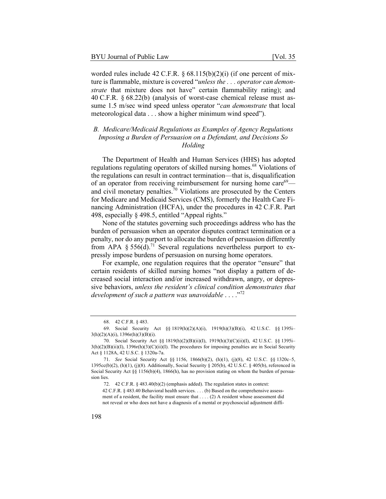worded rules include 42 C.F.R.  $\S$  68.115(b)(2)(i) (if one percent of mixture is flammable, mixture is covered "*unless the . . . operator can demonstrate* that mixture does not have" certain flammability rating); and 40 C.F.R. § 68.22(b) (analysis of worst-case chemical release must assume 1.5 m/sec wind speed unless operator "*can demonstrate* that local meteorological data . . . show a higher minimum wind speed").

## *B. Medicare/Medicaid Regulations as Examples of Agency Regulations Imposing a Burden of Persuasion on a Defendant, and Decisions So Holding*

The Department of Health and Human Services (HHS) has adopted regulations regulating operators of skilled nursing homes.<sup>68</sup> Violations of the regulations can result in contract termination—that is, disqualification of an operator from receiving reimbursement for nursing home care $69$  and civil monetary penalties.<sup>70</sup> Violations are prosecuted by the Centers for Medicare and Medicaid Services (CMS), formerly the Health Care Financing Administration (HCFA), under the procedures in 42 C.F.R. Part 498, especially § 498.5, entitled "Appeal rights."

None of the statutes governing such proceedings address who has the burden of persuasion when an operator disputes contract termination or a penalty, nor do any purport to allocate the burden of persuasion differently from APA § 556(d).<sup>71</sup> Several regulations nevertheless purport to expressly impose burdens of persuasion on nursing home operators.

For example, one regulation requires that the operator "ensure" that certain residents of skilled nursing homes "not display a pattern of decreased social interaction and/or increased withdrawn, angry, or depressive behaviors, *unless the resident's clinical condition demonstrates that development of such a pattern was unavoidable* . . . ."72

<sup>68.</sup> 42 C.F.R. § 483.

<sup>69.</sup> Social Security Act §§ 1819(h)(2)(A)(i), 1919(h)(3)(B)(i), 42 U.S.C. §§ 1395i– 3(h)(2)(A)(i), 1396r(h)(3)(B)(i).

<sup>70.</sup> Social Security Act §§ 1819(h)(2)(B)(ii)(I), 1919(h)(3)(C)(ii)(I), 42 U.S.C. §§ 1395i– 3(h)(2)(B)(ii)(I), 1396r(h)(3)(C)(ii)(I). The procedures for imposing penalties are in Social Security Act § 1128A, 42 U.S.C. § 1320a-7a.

<sup>71.</sup> *See* Social Security Act §§ 1156, 1866(b)(2), (h)(1), (j)(8), 42 U.S.C. §§ 1320c–5, 1395cc(b)(2), (h)(1), (j)(8). Additionally, Social Security § 205(b), 42 U.S.C. § 405(b), referenced in Social Security Act §§ 1156(b)(4), 1866(h), has no provision stating on whom the burden of persuasion lies.

<sup>72.</sup> 42 C.F.R. § 483.40(b)(2) (emphasis added). The regulation states in context:

<sup>42</sup> C.F.R. § 483.40 Behavioral health services. . . . (b) Based on the comprehensive assessment of a resident, the facility must ensure that . . . . (2) A resident whose assessment did not reveal or who does not have a diagnosis of a mental or psychosocial adjustment diffi-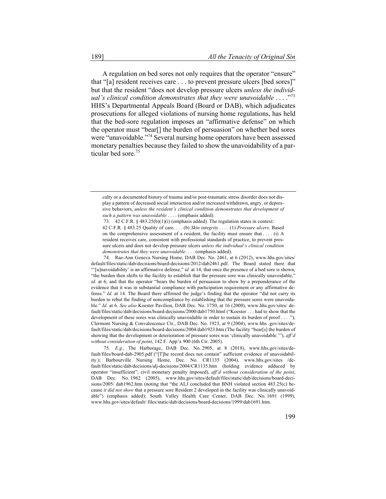A regulation on bed sores not only requires that the operator "ensure" that "[a] resident receives care . . . to prevent pressure ulcers [bed sores]" but that the resident "does not develop pressure ulcers *unless the individual's clinical condition demonstrates that they were unavoidable* . . . ."73 HHS's Departmental Appeals Board (Board or DAB), which adjudicates prosecutions for alleged violations of nursing home regulations, has held that the bed-sore regulation imposes an "affirmative defense" on which the operator must "bear[] the burden of persuasion" on whether bed sores were "unavoidable."<sup>74</sup> Several nursing home operators have been assessed monetary penalties because they failed to show the unavoidability of a particular bed sore.<sup>75</sup>

culty or a documented history of trauma and/or post-traumatic stress disorder does not display a pattern of decreased social interaction and/or increased withdrawn, angry, or depressive behaviors, *unless the resident's clinical condition demonstrates that development of such a pattern was unavoidable* . . . . (emphasis added).

<sup>73.</sup> 42 C.F.R. § 483.25(b)(1)(i) (emphasis added). The regulation states in context: 42 C.F.R. § 483.25 Quality of care. . . . (b) *Skin integrity* . . . . (1) *Pressure ulcers*. Based on the comprehensive assessment of a resident, the facility must ensure that . . . . (i) A resident receives care, consistent with professional standards of practice, to prevent pressure ulcers and does not develop pressure ulcers *unless the individual's clinical condition demonstrates that they were unavoidable*. . . . (emphasis added).

<sup>74</sup>*.* Rae-Ann Geneva Nursing Home, DAB Dec. No. 2461, at 6 (2012), www.hhs.gov/sites/ default/files/static/dab/decisions/board-decisions/2012/dab2461.pdf. The Board stated there that "'[u]navoidability' is an affirmative defense," *id.* at 14; that once the presence of a bed sore is shown, "the burden then shifts to the facility to establish that the pressure sore was clinically unavoidable," *id.* at 6; and that the operator "bears the burden of persuasion to show by a preponderance of the evidence that it was in substantial compliance with participation requirement or any affirmative defense." *Id.* at 14. The Board there affirmed the judge's finding that the operator "did not carry its burden to rebut the finding of noncompliance by establishing that the pressure sores were unavoidable." *Id.* at 6. *See also* Koester Pavilion, DAB Dec. No. 1750, at 16 (2000), www.hhs.gov/sites/ default/files/static/dab/decisions/board-decisions/2000/dab1750.html ("Koester . . . had to show that the development of these sores was clinically unavoidable in order to sustain its burden of proof . . . ."); Clermont Nursing & Convalescence Ctr., DAB Dec. No. 1923, at 9 (2004), www.hhs .gov/sites/default/files/static/dab/decisions/board-decisions/2004/dab1923.htm (The facility "bear[s] the burden of showing that the development or deterioration of pressure sores was 'clinically unavoidable.'"), *aff'd without consideration of point*, 142 F. App'x 900 (6th Cir. 2005).

<sup>75</sup>*. E.g.,* The Harborage, DAB Dec. No. 2905, at 8 (2018), www.hhs.gov/sites/default/files/board-dab-2905.pdf ("[T]he record does not contain" sufficient evidence of unavoidability.); Barbourville Nursing Home, Dec. No. CR1135 (2004), www.hhs.gov/sites /default/files/static/dab/decisions/alj-decisions/2004/CR1135.htm (holding evidence adduced by operator "insufficient"; civil monetary penalty imposed), *aff'd without consideration of the point*, DAB Dec. No. 1962 (2005), www.hhs.gov/sites/default/files/static/dab/decisions/board-decisions/2005/ dab1962.htm (noting that "the ALJ concluded that BNH violated section 483.25(c) because *it did not show* that a pressure sore Resident 2 developed in the facility was clinically unavoidable") (emphasis added); South Valley Health Care Center, DAB Dec. No. 1691 (1999), www.hhs.gov/sites/default/ files/static/dab/decisions/board-decisions/1999/dab1691.htm.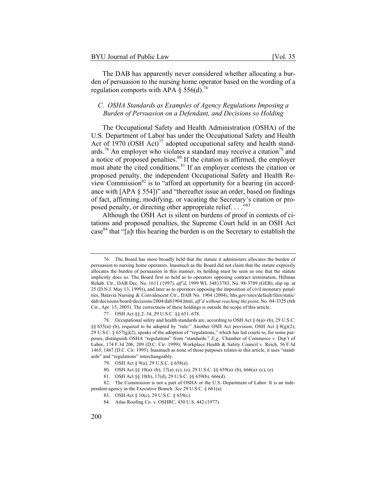The DAB has apparently never considered whether allocating a burden of persuasion to the nursing home operator based on the wording of a regulation comports with APA  $\S$  556(d).<sup>76</sup>

## *C. OSHA Standards as Examples of Agency Regulations Imposing a Burden of Persuasion on a Defendant, and Decisions so Holding*

The Occupational Safety and Health Administration (OSHA) of the U.S. Department of Labor has under the Occupational Safety and Health Act of 1970  $(OSH Act)^{77}$  adopted occupational safety and health standards.<sup>78</sup> An employer who violates a standard may receive a citation<sup>79</sup> and a notice of proposed penalties. $80$  If the citation is affirmed, the employer must abate the cited conditions.<sup>81</sup> If an employer contests the citation or proposed penalty, the independent Occupational Safety and Health Review Commission<sup>82</sup> is to "afford an opportunity for a hearing (in accordance with [APA § 554])" and "thereafter issue an order, based on findings of fact, affirming, modifying, or vacating the Secretary's citation or proposed penalty, or directing other appropriate relief.  $\dots$ <sup>83</sup>

Although the OSH Act is silent on burdens of proof in contests of citations and proposed penalties, the Supreme Court held in an OSH Act case<sup>84</sup> that "[a]t this hearing the burden is on the Secretary to establish the

<sup>76.</sup> The Board has more broadly held that the statute it administers allocates the burden of persuasion to nursing home operators. Inasmuch as the Board did not claim that the statute expressly allocates the burden of persuasion in this manner, its holding must be seen as one that the statute implicitly does so. The Board first so held as to operators opposing contract termination, Hillman Rehab. Ctr., DAB Dec. No. 1611 (1997), *aff'd*, 1999 WL 34813783, No. 98-3789 (GEB), slip op. at 25 (D.N.J. May 13, 1999)), and later as to operators opposing the imposition of civil monetary penalties, Batavia Nursing & Convalescent Ctr., DAB No. 1904 (2004), hhs.gov/sites/default/files/static/ dab/decisions/board-decisions/2004/dab1904.html, *aff'd without reaching the point*, No. 04-3325 (6th Cir., Apr. 15, 2005). The correctness of these holdings is outside the scope of this article.

<sup>77.</sup> OSH Act §§ 2–34, 29 U.S.C. §§ 651–678.

<sup>78.</sup> Occupational safety and health standards are, according to OSH Act § 6(a)–(b), 29 U.S.C. §§ 655(a)–(b), required to be adopted by "rule." Another OSH Act provision, OSH Act § 8(g)(2), 29 U.S.C. §  $657(g)(2)$ , speaks of the adoption of "regulations," which has led courts to, for some purposes, distinguish OSHA "regulations" from "standards." *E.g.,* Chamber of Commerce v. Dep't of Labor, 174 F.3d 206, 209 (D.C. Cir. 1999); Workplace Health & Safety Council v. Reich, 56 F.3d 1465, 1467 (D.C. Cir. 1995). Inasmuch as none of those purposes relates to this article, it uses "standards" and "regulations" interchangeably.

<sup>79.</sup> OSH Act § 9(a), 29 U.S.C. § 658(a).

<sup>80.</sup> OSH Act §§ 10(a)–(b), 17(a)–(c), (e), 29 U.S.C. §§ 659(a)–(b), 666(a)–(c), (e).

<sup>81.</sup> OSH Act §§ 10(b), 17(d), 29 U.S.C. §§ 659(b), 666(d).

<sup>82.</sup> The Commission is not a part of OSHA or the U.S. Department of Labor. It is an independent agency in the Executive Branch. *See* 29 U.S.C. § 661(a).

<sup>83.</sup> OSH Act § 10(c), 29 U.S.C. § 659(c).

<sup>84.</sup> Atlas Roofing Co. v. OSHRC, 430 U.S. 442 (1977).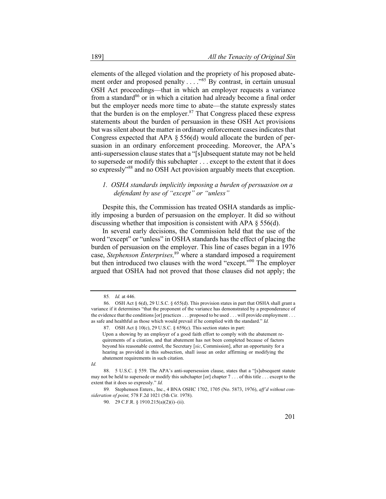elements of the alleged violation and the propriety of his proposed abatement order and proposed penalty  $\dots$   $\frac{1}{85}$  By contrast, in certain unusual OSH Act proceedings—that in which an employer requests a variance from a standard<sup>86</sup> or in which a citation had already become a final order but the employer needs more time to abate—the statute expressly states that the burden is on the employer. $87$  That Congress placed these express statements about the burden of persuasion in these OSH Act provisions but was silent about the matter in ordinary enforcement cases indicates that Congress expected that APA § 556(d) would allocate the burden of persuasion in an ordinary enforcement proceeding. Moreover, the APA's anti-supersession clause states that a "[s]ubsequent statute may not be held to supersede or modify this subchapter . . . except to the extent that it does so expressly"<sup>88</sup> and no OSH Act provision arguably meets that exception.

#### *1. OSHA standards implicitly imposing a burden of persuasion on a defendant by use of "except" or "unless"*

Despite this, the Commission has treated OSHA standards as implicitly imposing a burden of persuasion on the employer. It did so without discussing whether that imposition is consistent with APA § 556(d).

In several early decisions, the Commission held that the use of the word "except" or "unless" in OSHA standards has the effect of placing the burden of persuasion on the employer. This line of cases began in a 1976 case, *Stephenson Enterprises,*<sup>89</sup> where a standard imposed a requirement but then introduced two clauses with the word "except."<sup>90</sup> The employer argued that OSHA had not proved that those clauses did not apply; the

<sup>85</sup>*. Id.* at 446.

<sup>86.</sup> OSH Act  $\S$  6(d), 29 U.S.C.  $\S$  655(d). This provision states in part that OSHA shall grant a variance if it determines "that the proponent of the variance has demonstrated by a preponderance of the evidence that the conditions [or] practices . . . proposed to be used . . . will provide employment . . . as safe and healthful as those which would prevail if he complied with the standard." *Id.*

<sup>87.</sup> OSH Act § 10(c), 29 U.S.C. § 659(c). This section states in part:

Upon a showing by an employer of a good faith effort to comply with the abatement requirements of a citation, and that abatement has not been completed because of factors beyond his reasonable control, the Secretary [*sic*, Commission], after an opportunity for a hearing as provided in this subsection, shall issue an order affirming or modifying the abatement requirements in such citation.

*Id.*

<sup>88.</sup> 5 U.S.C. § 559. The APA's anti-supersession clause, states that a "[s]ubsequent statute may not be held to supersede or modify this subchapter [or] chapter 7 . . . of this title . . . except to the extent that it does so expressly." *Id.*

<sup>89</sup>*.* Stephenson Enters., Inc., 4 BNA OSHC 1702, 1705 (No. 5873, 1976), *aff'd without consideration of point,* 578 F.2d 1021 (5th Cir. 1978).

<sup>90. 29</sup> C.F.R. § 1910.215(a)(2)(i)–(ii).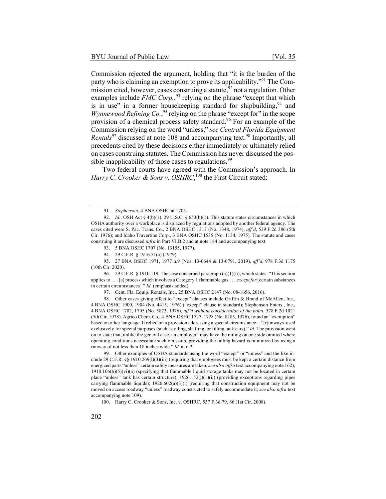Commission rejected the argument, holding that "it is the burden of the party who is claiming an exemption to prove its applicability."91 The Commission cited, however, cases construing a statute,  $32$  not a regulation. Other examples include *FMC Corp*.<sup>93</sup> relying on the phrase "except that which is in use" in a former house keeping standard for shipbuilding,  $94$  and *Wynnewood Refining Co.*<sup>95</sup> relying on the phrase "except for" in the scope provision of a chemical process safety standard.<sup>96</sup> For an example of the Commission relying on the word "unless," *see Central Florida Equipment Rentals*<sup>97</sup> discussed at note 108 and accompanying text.<sup>98</sup> Importantly, all precedents cited by these decisions either immediately or ultimately relied on cases construing statutes. The Commission has never discussed the possible inapplicability of those cases to regulations.<sup>99</sup>

Two federal courts have agreed with the Commission's approach. In Harry C. Crooker & Sons v. OSHRC,<sup>100</sup> the First Circuit stated:

98. Other cases giving effect to "except" clauses include Griffin & Brand of McAllen, Inc., 4 BNA OSHC 1900, 1904 (No. 4415, 1976) ("except" clause in standard); Stephenson Enters., Inc., 4 BNA OSHC 1702, 1705 (No. 5873, 1976), *aff'd without consideration of the point*, 578 F.2d 1021 (5th Cir. 1978). Agrico Chem. Co., 4 BNA OSHC 1727, 1728 (No. 8285, 1976), found an "exemption" based on other language. It relied on a provision addressing a special circumstance—"[r]unways used exclusively for special purposes (such as oiling, shafting, or filling tank cars)." *Id.* The provision went on to state that, unlike the general case, an employer "may have the railing on one side omitted where operating conditions necessitate such omission, providing the falling hazard is minimized by using a runway of not less than 18 inches wide." *Id.* at n.2.

99. Other examples of OSHA standards using the word "except" or "unless" and the like include 29 C.F.R. §§ 1910.269(l)(3)(iii) (requiring that employees must be kept a certain distance from energized parts "unless" certain safety measures are taken; *see also infra* text accompanying note 162); 1910.106(b)(5)(vi)(a) (specifying that flammable liquid storage tanks may not be located in certain place "unless" tank has certain structure); 1926.152(j)(1)(ii) (providing exceptions regarding pipes carrying flammable liquids);  $1926.602(a)(3)(i)$  (requiring that construction equipment may not be moved on access roadway "unless" roadway constructed to safely accommodate it; *see also infra* text accompanying note 109).

100. Harry C. Crooker & Sons, Inc. v. OSHRC, 537 F.3d 79, 86 (1st Cir. 2008).

<sup>91.</sup> *Stephenson*, 4 BNA OSHC at 1705.

<sup>92.</sup> *Id.*; OSH Act § 4(b)(1), 29 U.S.C. § 653(b)(1). This statute states circumstances in which OSHA authority over a workplace is displaced by regulations adopted by another federal agency. The cases cited were S. Pac. Trans. Co., 2 BNA OSHC 1313 (No. 1348, 1974), *aff'd*, 539 F.2d 386 (5th Cir. 1976); and Idaho Travertine Corp., 3 BNA OSHC 1535 (No. 1134, 1975). The statute and cases construing it are discussed *infra* in Part VI.B.2 and at note 184 and accompanying text.

<sup>93.</sup> 5 BNA OSHC 1707 (No. 13155, 1977).

<sup>94.</sup> 29 C.F.R. § 1916.51(a) (1979).

<sup>95.</sup> 27 BNA OSHC 1971, 1977 n.9 (Nos. 13-0644 & 13-0791, 2019), *aff'd*, 978 F.3d 1175 (10th Cir. 2020).

<sup>96.</sup> 29 C.F.R. § 1910.119. The case concerned paragraph (a)(1)(ii), which states: "This section applies to . . . [a] process which involves a Category 1 flammable gas . . . *except for* [certain substances in certain circumstances]." *Id.* (emphasis added).

<sup>97.</sup> Cent. Fla. Equip. Rentals, Inc., 25 BNA OSHC 2147 (No. 08-1656, 2016).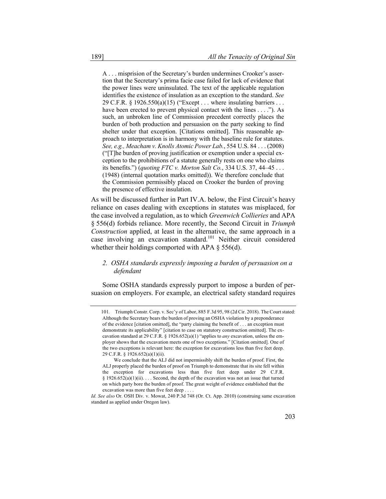A . . . misprision of the Secretary's burden undermines Crooker's assertion that the Secretary's prima facie case failed for lack of evidence that the power lines were uninsulated. The text of the applicable regulation identifies the existence of insulation as an exception to the standard. *See* 29 C.F.R.  $\S 1926.550(a)(15)$  ("Except ... where insulating barriers ... have been erected to prevent physical contact with the lines . . . ."). As such, an unbroken line of Commission precedent correctly places the burden of both production and persuasion on the party seeking to find shelter under that exception. [Citations omitted]. This reasonable approach to interpretation is in harmony with the baseline rule for statutes. *See, e.g., Meacham v. Knolls Atomic Power Lab.*, 554 U.S. 84 . . . (2008) ("[T]he burden of proving justification or exemption under a special exception to the prohibitions of a statute generally rests on one who claims its benefits.") (*quoting FTC v. Morton Salt Co.*, 334 U.S. 37, 44–45 . . . (1948) (internal quotation marks omitted)). We therefore conclude that the Commission permissibly placed on Crooker the burden of proving the presence of effective insulation.

As will be discussed further in Part IV.A. below, the First Circuit's heavy reliance on cases dealing with exceptions in statutes was misplaced, for the case involved a regulation, as to which *Greenwich Collieries* and APA § 556(d) forbids reliance. More recently, the Second Circuit in *Triumph Construction* applied, at least in the alternative, the same approach in a case involving an excavation standard.<sup>101</sup> Neither circuit considered whether their holdings comported with APA § 556(d).

#### *2. OSHA standards expressly imposing a burden of persuasion on a defendant*

Some OSHA standards expressly purport to impose a burden of persuasion on employers. For example, an electrical safety standard requires

<sup>101</sup>*.* Triumph Constr. Corp. v. Sec'y of Labor, 885 F.3d 95, 98 (2d Cir. 2018). The Court stated: Although the Secretary bears the burden of proving an OSHA violation by a preponderance of the evidence [citation omitted], the "party claiming the benefit of . . . an exception must demonstrate its applicability" [citation to case on statutory construction omitted]. The excavation standard at 29 C.F.R. § 1926.652(a)(1) "applies to *any* excavation, unless the employer shows that the excavation meets one of two exceptions." [Citation omitted]. One of the two exceptions is relevant here: the exception for excavations less than five feet deep. 29 C.F.R. § 1926.652(a)(1)(ii).

We conclude that the ALJ did not impermissibly shift the burden of proof. First, the ALJ properly placed the burden of proof on Triumph to demonstrate that its site fell within the exception for excavations less than five feet deep under 29 C.F.R. § 1926.652(a)(1)(ii). . . . Second, the depth of the excavation was not an issue that turned on which party bore the burden of proof. The great weight of evidence established that the excavation was more than five feet deep . . . .

*Id. See also* Or. OSH Div. v. Mowat, 240 P.3d 748 (Or. Ct. App. 2010) (construing same excavation standard as applied under Oregon law).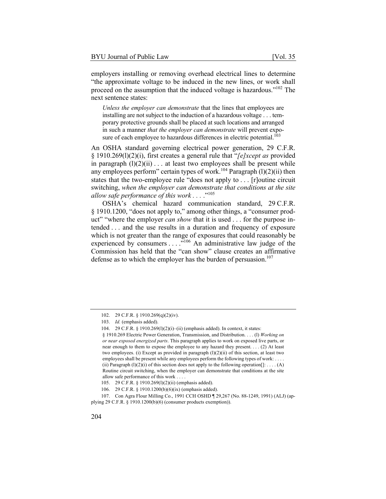employers installing or removing overhead electrical lines to determine "the approximate voltage to be induced in the new lines, or work shall proceed on the assumption that the induced voltage is hazardous."<sup>102</sup> The next sentence states:

*Unless the employer can demonstrate* that the lines that employees are installing are not subject to the induction of a hazardous voltage . . . temporary protective grounds shall be placed at such locations and arranged in such a manner *that the employer can demonstrate* will prevent exposure of each employee to hazardous differences in electric potential. $103$ 

An OSHA standard governing electrical power generation, 29 C.F.R. § 1910.269(l)(2)(i), first creates a general rule that "*[e]xcept as* provided in paragraph  $(l)(2)(ii) \ldots$  at least two employees shall be present while any employees perform" certain types of work.<sup>104</sup> Paragraph  $(1)(2)(ii)$  then states that the two-employee rule "does not apply to . . . [r]outine circuit switching, *when the employer can demonstrate that conditions at the site allow safe performance of this work . . .* ."<sup>105</sup>

OSHA's chemical hazard communication standard, 29 C.F.R. § 1910.1200, "does not apply to," among other things, a "consumer product" "where the employer *can show* that it is used . . . for the purpose intended . . . and the use results in a duration and frequency of exposure which is not greater than the range of exposures that could reasonably be experienced by consumers  $\dots$ <sup>5106</sup> An administrative law judge of the Commission has held that the "can show" clause creates an affirmative defense as to which the employer has the burden of persuasion.<sup>107</sup>

<sup>102.</sup> 29 C.F.R. § 1910.269(q)(2)(iv).

<sup>103.</sup> *Id.* (emphasis added).

<sup>104.</sup> 29 C.F.R. § 1910.269(l)(2)(i)–(ii) (emphasis added). In context, it states:

<sup>§</sup> 1910.269 Electric Power Generation, Transmission, and Distribution. . . . (l) *Working on or near exposed energized parts*. This paragraph applies to work on exposed live parts, or near enough to them to expose the employee to any hazard they present. . . . (2) At least two employees. (i) Except as provided in paragraph (l)(2)(ii) of this section, at least two employees shall be present while any employees perform the following types of work: . . . . (ii) Paragraph  $(l)(2)(i)$  of this section does not apply to the following operation  $[]: \ldots (A)$ Routine circuit switching, when the employer can demonstrate that conditions at the site allow safe performance of this work . . . .

<sup>105.</sup> 29 C.F.R. § 1910.269(l)(2)(ii) (emphasis added).

<sup>106.</sup> 29 C.F.R. § 1910.1200(b)(6)(ix) (emphasis added).

<sup>107.</sup> Con Agra Flour Milling Co., 1991 CCH OSHD ¶ 29,267 (No. 88-1249, 1991) (ALJ) (applying 29 C.F.R. § 1910.1200(b)(6) (consumer products exemption)).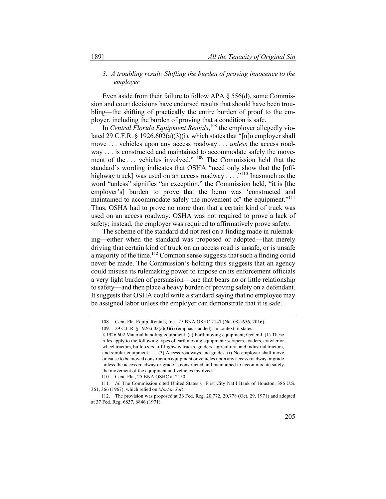#### *3. A troubling result: Shifting the burden of proving innocence to the employer*

Even aside from their failure to follow APA § 556(d), some Commission and court decisions have endorsed results that should have been troubling—the shifting of practically the entire burden of proof to the employer, including the burden of proving that a condition is safe.

In *Central Florida Equipment Rentals*,<sup>108</sup> the employer allegedly violated 29 C.F.R. § 1926.602(a)(3)(i), which states that "[n]o employer shall move . . . vehicles upon any access roadway . . . *unless* the access roadway . . . is constructed and maintained to accommodate safely the movement of the ... vehicles involved." <sup>109</sup> The Commission held that the standard's wording indicates that OSHA "need only show that the [offhighway truck] was used on an access roadway  $\dots$  ...<sup>110</sup> Inasmuch as the word "unless" signifies "an exception," the Commission held, "it is [the employer's] burden to prove that the berm was 'constructed and maintained to accommodate safely the movement of the equipment."<sup>111</sup> Thus, OSHA had to prove no more than that a certain kind of truck was used on an access roadway. OSHA was not required to prove a lack of safety; instead, the employer was required to affirmatively prove safety.

The scheme of the standard did not rest on a finding made in rulemaking—either when the standard was proposed or adopted—that merely driving that certain kind of truck on an access road is unsafe, or is unsafe a majority of the time.<sup>112</sup> Common sense suggests that such a finding could never be made. The Commission's holding thus suggests that an agency could misuse its rulemaking power to impose on its enforcement officials a very light burden of persuasion—one that bears no or little relationship to safety—and then place a heavy burden of proving safety on a defendant. It suggests that OSHA could write a standard saying that no employee may be assigned labor unless the employer can demonstrate that it is safe.

<sup>108</sup>*.* Cent. Fla. Equip. Rentals, Inc., 25 BNA OSHC 2147 (No. 08-1656, 2016).

<sup>109.</sup> 29 C.F.R. § 1926.602(a)(3)(i) (emphasis added). In context, it states:

<sup>§</sup> 1926.602 Material handling equipment. (a) Earthmoving equipment; General. (1) These rules apply to the following types of earthmoving equipment: scrapers, loaders, crawler or wheel tractors, bulldozers, off-highway trucks, graders, agricultural and industrial tractors, and similar equipment. . . . (3) Access roadways and grades. (i) No employer shall move or cause to be moved construction equipment or vehicles upon any access roadway or grade unless the access roadway or grade is constructed and maintained to accommodate safely the movement of the equipment and vehicles involved.

<sup>110.</sup> Cent. Fla., 25 BNA OSHC at 2150.

<sup>111</sup>*. Id*. The Commission cited United States v. First City Nat'l Bank of Houston, 386 U.S. 361, 366 (1967), which relied on *Morton Salt.*

<sup>112.</sup> The provision was proposed at 36 Fed. Reg. 20,772, 20,778 (Oct. 29, 1971) and adopted at 37 Fed. Reg. 6837, 6846 (1971).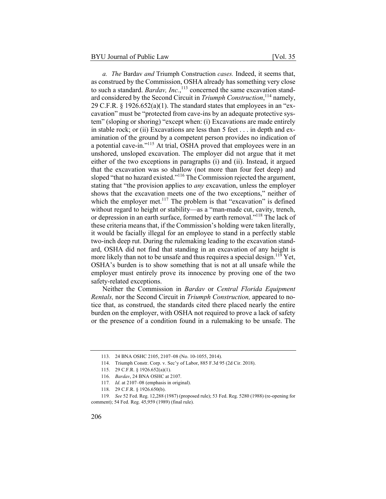*a. The* Bardav *and* Triumph Construction *cases.* Indeed, it seems that, as construed by the Commission, OSHA already has something very close to such a standard. *Bardav, Inc.*, <sup>113</sup> concerned the same excavation standard considered by the Second Circuit in *Triumph Construction*, <sup>114</sup> namely, 29 C.F.R.  $\S$  1926.652(a)(1). The standard states that employees in an "excavation" must be "protected from cave-ins by an adequate protective system" (sloping or shoring) "except when: (i) Excavations are made entirely in stable rock; or (ii) Excavations are less than 5 feet . . . in depth and examination of the ground by a competent person provides no indication of a potential cave-in."115 At trial, OSHA proved that employees were in an unshored, unsloped excavation. The employer did not argue that it met either of the two exceptions in paragraphs (i) and (ii). Instead, it argued that the excavation was so shallow (not more than four feet deep) and sloped "that no hazard existed."<sup>116</sup> The Commission rejected the argument, stating that "the provision applies to *any* excavation, unless the employer shows that the excavation meets one of the two exceptions," neither of which the employer met. $117$  The problem is that "excavation" is defined without regard to height or stability—as a "man-made cut, cavity, trench, or depression in an earth surface, formed by earth removal."<sup>118</sup> The lack of these criteria means that, if the Commission's holding were taken literally, it would be facially illegal for an employee to stand in a perfectly stable two-inch deep rut. During the rulemaking leading to the excavation standard, OSHA did not find that standing in an excavation of any height is more likely than not to be unsafe and thus requires a special design.<sup>119</sup> Yet, OSHA's burden is to show something that is not at all unsafe while the employer must entirely prove its innocence by proving one of the two safety-related exceptions.

Neither the Commission in *Bardav* or *Central Florida Equipment Rentals,* nor the Second Circuit in *Triumph Construction,* appeared to notice that, as construed, the standards cited there placed nearly the entire burden on the employer, with OSHA not required to prove a lack of safety or the presence of a condition found in a rulemaking to be unsafe. The

<sup>113.</sup> 24 BNA OSHC 2105, 2107–08 (No. 10-1055, 2014).

<sup>114.</sup> Triumph Constr. Corp. v. Sec'y of Labor, 885 F.3d 95 (2d Cir. 2018).

<sup>115.</sup> 29 C.F.R. § 1926.652(a)(1).

<sup>116.</sup> *Bardav*, 24 BNA OSHC at 2107.

<sup>117</sup>*. Id*. at 2107–08 (emphasis in original).

<sup>118.</sup> 29 C.F.R. § 1926.650(b).

<sup>119</sup>*. See* 52 Fed. Reg. 12,288 (1987) (proposed rule); 53 Fed. Reg. 5280 (1988) (re-opening for comment); 54 Fed. Reg. 45,959 (1989) (final rule).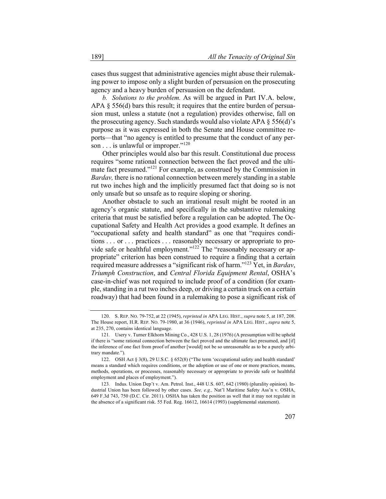cases thus suggest that administrative agencies might abuse their rulemaking power to impose only a slight burden of persuasion on the prosecuting agency and a heavy burden of persuasion on the defendant.

*b. Solutions to the problem.* As will be argued in Part IV.A. below, APA  $\S$  556(d) bars this result; it requires that the entire burden of persuasion must, unless a statute (not a regulation) provides otherwise, fall on the prosecuting agency. Such standards would also violate APA  $\S$  556(d)'s purpose as it was expressed in both the Senate and House committee reports—that "no agency is entitled to presume that the conduct of any person . . . is unlawful or improper."<sup>120</sup>

Other principles would also bar this result. Constitutional due process requires "some rational connection between the fact proved and the ultimate fact presumed."121 For example, as construed by the Commission in *Bardav,* there is no rational connection between merely standing in a stable rut two inches high and the implicitly presumed fact that doing so is not only unsafe but so unsafe as to require sloping or shoring.

Another obstacle to such an irrational result might be rooted in an agency's organic statute, and specifically in the substantive rulemaking criteria that must be satisfied before a regulation can be adopted. The Occupational Safety and Health Act provides a good example. It defines an "occupational safety and health standard" as one that "requires conditions . . . or . . . practices . . . reasonably necessary or appropriate to provide safe or healthful employment."<sup>122</sup> The "reasonably necessary or appropriate" criterion has been construed to require a finding that a certain required measure addresses a "significant risk of harm."123 Yet, in *Bardav*, *Triumph Construction*, and *Central Florida Equipment Rental*, OSHA's case-in-chief was not required to include proof of a condition (for example, standing in a rut two inches deep, or driving a certain truck on a certain roadway) that had been found in a rulemaking to pose a significant risk of

<sup>120.</sup> S. REP. NO. 79-752, at 22 (1945), *reprinted in* APA LEG. HIST., *supra* note 5, at 187, 208. The House report, H.R. REP. NO. 79-1980, at 36 (1946), *reprinted in* APA LEG. HIST., *supra* note 5, at 235, 270, contains identical language.

<sup>121</sup>*.* Usery v. Turner Elkhorn Mining Co., 428 U.S. 1, 28 (1976) (A presumption will be upheld if there is "some rational connection between the fact proved and the ultimate fact presumed, and [if] the inference of one fact from proof of another [would] not be so unreasonable as to be a purely arbitrary mandate.").

<sup>122.</sup> OSH Act § 3(8), 29 U.S.C. § 652(8) ("The term 'occupational safety and health standard' means a standard which requires conditions, or the adoption or use of one or more practices, means, methods, operations, or processes, reasonably necessary or appropriate to provide safe or healthful employment and places of employment.").

<sup>123</sup>*.* Indus. Union Dep't v. Am. Petrol. Inst., 448 U.S. 607, 642 (1980) (plurality opinion). Industrial Union has been followed by other cases. *See, e.g.,* Nat'l Maritime Safety Ass'n v. OSHA, 649 F.3d 743, 750 (D.C. Cir. 2011). OSHA has taken the position as well that it may not regulate in the absence of a significant risk. 55 Fed. Reg. 16612, 16614 (1993) (supplemental statement).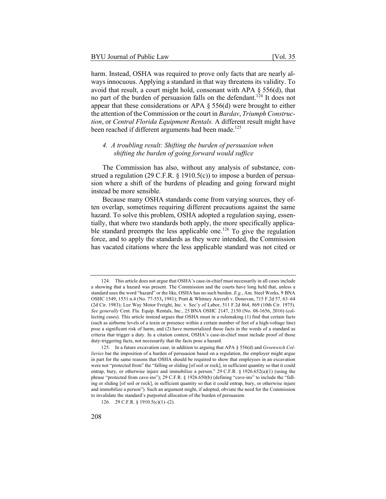harm. Instead, OSHA was required to prove only facts that are nearly always innocuous. Applying a standard in that way threatens its validity. To avoid that result, a court might hold, consonant with APA § 556(d), that no part of the burden of persuasion falls on the defendant.<sup>124</sup> It does not appear that these considerations or APA  $\S$  556(d) were brought to either the attention of the Commission or the court in *Bardav*, *Triumph Construction*, or *Central Florida Equipment Rentals.* A different result might have been reached if different arguments had been made.<sup>125</sup>

#### *4. A troubling result: Shifting the burden of persuasion when shifting the burden of going forward would suffice*

The Commission has also, without any analysis of substance, construed a regulation (29 C.F.R. § 1910.5(c)) to impose a burden of persuasion where a shift of the burdens of pleading and going forward might instead be more sensible.

Because many OSHA standards come from varying sources, they often overlap, sometimes requiring different precautions against the same hazard. To solve this problem, OSHA adopted a regulation saying, essentially, that where two standards both apply, the more specifically applicable standard preempts the less applicable one.<sup>126</sup> To give the regulation force, and to apply the standards as they were intended, the Commission has vacated citations where the less applicable standard was not cited or

<sup>124.</sup> This article does not argue that OSHA's case-in-chief must necessarily in all cases include a showing that a hazard was present. The Commission and the courts have long held that, unless a standard uses the word "hazard" or the like, OSHA has no such burden. *E.g.*, Am. Steel Works*,* 9 BNA OSHC 1549, 1551 n.4 (No. 77-553**,** 1981); Pratt & Whitney Aircraft v. Donovan, 715 F.2d 57, 63–64 (2d Cir. 1983); Lee Way Motor Freight, Inc. v. Sec'y of Labor, 511 F.2d 864, 869 (10th Cir. 1975). *See generally* Cent. Fla. Equip. Rentals, Inc., 25 BNA OSHC 2147, 2150 (No. 08-1656, 2016) (collecting cases). This article instead argues that OSHA must in a rulemaking (1) find that certain facts (such as airborne levels of a toxin or presence within a certain number of feet of a high-voltage line) pose a significant risk of harm, and (2) have memorialized those facts in the words of a standard as criteria that trigger a duty. In a citation contest, OSHA's case-in-chief must include proof of those duty-triggering facts, not necessarily that the facts pose a hazard.

<sup>125.</sup> In a future excavation case, in addition to arguing that APA § 556(d) and *Greenwich Collieries* bar the imposition of a burden of persuasion based on a regulation, the employer might argue in part for the same reasons that OSHA should be required to show that employees in an excavation were not "protected from" the "falling or sliding [of soil or rock], in sufficient quantity so that it could entrap, bury, or otherwise injure and immobilize a person." 29 C.F.R. § 1926.652(a)(1) (using the phrase "protected from cave-ins"); 29 C.F.R. § 1926.650(b) (defining "cave-ins" to include the "falling or sliding [of soil or rock], in sufficient quantity so that it could entrap, bury, or otherwise injure and immobilize a person"). Such an argument might, if adopted, obviate the need for the Commission to invalidate the standard's purported allocation of the burden of persuasion.

<sup>126.</sup> 29 C.F.R. § 1910.5(c)(1)–(2).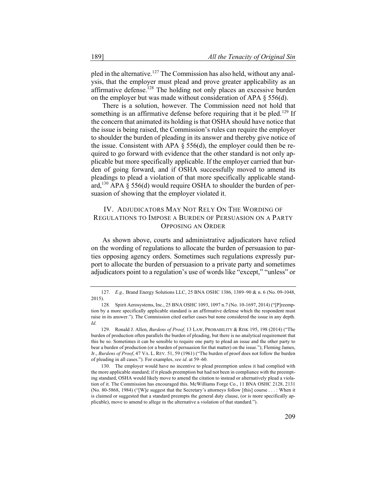pled in the alternative.<sup>127</sup> The Commission has also held, without any analysis, that the employer must plead and prove greater applicability as an affirmative defense.<sup>128</sup> The holding not only places an excessive burden on the employer but was made without consideration of APA § 556(d).

There is a solution, however. The Commission need not hold that something is an affirmative defense before requiring that it be pled.<sup>129</sup> If the concern that animated its holding is that OSHA should have notice that the issue is being raised, the Commission's rules can require the employer to shoulder the burden of pleading in its answer and thereby give notice of the issue. Consistent with APA  $\S$  556(d), the employer could then be required to go forward with evidence that the other standard is not only applicable but more specifically applicable. If the employer carried that burden of going forward, and if OSHA successfully moved to amend its pleadings to plead a violation of that more specifically applicable standard,<sup>130</sup> APA § 556(d) would require OSHA to shoulder the burden of persuasion of showing that the employer violated it.

## IV. ADJUDICATORS MAY NOT RELY ON THE WORDING OF REGULATIONS TO IMPOSE A BURDEN OF PERSUASION ON A PARTY OPPOSING AN ORDER

As shown above, courts and administrative adjudicators have relied on the wording of regulations to allocate the burden of persuasion to parties opposing agency orders. Sometimes such regulations expressly purport to allocate the burden of persuasion to a private party and sometimes adjudicators point to a regulation's use of words like "except," "unless" or

<sup>127.</sup> *E.g.,* Brand Energy Solutions LLC, 25 BNA OSHC 1386, 1389–90 & n. 6 (No. 09-1048, 2015).

<sup>128</sup>*.* Spirit Aerosystems, Inc., 25 BNA OSHC 1093, 1097 n.7 (No. 10-1697, 2014) ("[P]reemption by a more specifically applicable standard is an affirmative defense which the respondent must raise in its answer."). The Commission cited earlier cases but none considered the issue in any depth. *Id.*

<sup>129.</sup> Ronald J. Allen, *Burdens of Proof,* 13 LAW, PROBABILITY & RISK 195, 198 (2014) ("The burden of production often parallels the burden of pleading, but there is no analytical requirement that this be so. Sometimes it can be sensible to require one party to plead an issue and the other party to bear a burden of production (or a burden of persuasion for that matter) on the issue."); Fleming James, Jr., *Burdens of Proof*, 47 VA. L. REV. 51, 59 (1961) ("The burden of proof does not follow the burden of pleading in all cases."). For examples, *see id*. at 59–60.

<sup>130.</sup> The employer would have no incentive to plead preemption unless it had complied with the more applicable standard; if it pleads preemption but had not been in compliance with the preempting standard, OSHA would likely move to amend the citation to instead or alternatively plead a violation of it. The Commission has encouraged this. McWilliams Forge Co., 11 BNA OSHC 2128, 2131 (No. 80-5868, 1984) ("[W]e suggest that the Secretary's attorneys follow [this] course . . . : When it is claimed or suggested that a standard preempts the general duty clause, (or is more specifically applicable), move to amend to allege in the alternative a violation of that standard.").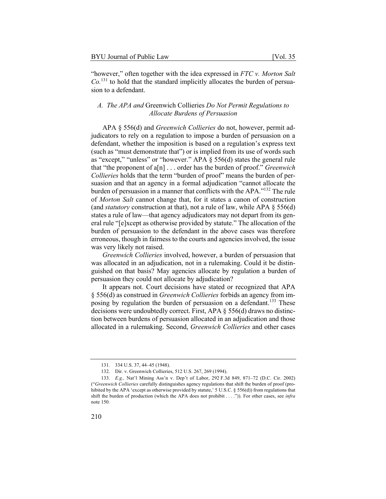"however," often together with the idea expressed in *FTC v. Morton Salt*   $Co$ <sup>131</sup> to hold that the standard implicitly allocates the burden of persuasion to a defendant.

## *A. The APA and* Greenwich Collieries *Do Not Permit Regulations to Allocate Burdens of Persuasion*

APA § 556(d) and *Greenwich Collieries* do not, however, permit adjudicators to rely on a regulation to impose a burden of persuasion on a defendant, whether the imposition is based on a regulation's express text (such as "must demonstrate that") or is implied from its use of words such as "except," "unless" or "however." APA § 556(d) states the general rule that "the proponent of a[n] . . . order has the burden of proof." *Greenwich Collieries* holds that the term "burden of proof" means the burden of persuasion and that an agency in a formal adjudication "cannot allocate the burden of persuasion in a manner that conflicts with the APA."<sup>132</sup> The rule of *Morton Salt* cannot change that, for it states a canon of construction (and *statutory* construction at that), not a rule of law, while APA § 556(d) states a rule of law—that agency adjudicators may not depart from its general rule "[e]xcept as otherwise provided by statute." The allocation of the burden of persuasion to the defendant in the above cases was therefore erroneous, though in fairness to the courts and agencies involved, the issue was very likely not raised.

*Greenwich Collieries* involved, however, a burden of persuasion that was allocated in an adjudication, not in a rulemaking. Could it be distinguished on that basis? May agencies allocate by regulation a burden of persuasion they could not allocate by adjudication?

It appears not. Court decisions have stated or recognized that APA § 556(d) as construed in *Greenwich Collieries* forbids an agency from imposing by regulation the burden of persuasion on a defendant.<sup>133</sup> These decisions were undoubtedly correct. First, APA § 556(d) draws no distinction between burdens of persuasion allocated in an adjudication and those allocated in a rulemaking. Second, *Greenwich Collieries* and other cases

<sup>131.</sup> 334 U.S. 37, 44–45 (1948).

<sup>132.</sup> Dir. v. Greenwich Collieries, 512 U.S. 267, 269 (1994).

<sup>133.</sup> *E.g.,* Nat'l Mining Ass'n v. Dep't of Labor, 292 F.3d 849, 871–72 (D.C. Cir. 2002) ("*Greenwich Collieries* carefully distinguishes agency regulations that shift the burden of proof (prohibited by the APA 'except as otherwise provided by statute,' 5 U.S.C. § 556(d)) from regulations that shift the burden of production (which the APA does not prohibit . . . .")). For other cases, see *infra* note 150.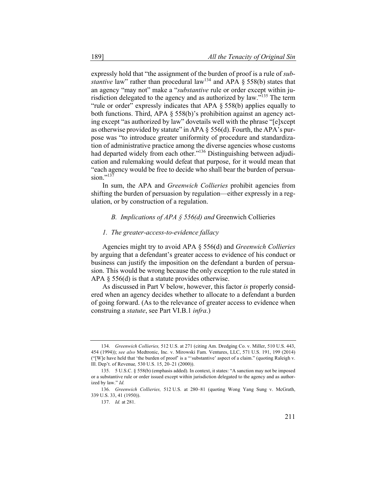expressly hold that "the assignment of the burden of proof is a rule of *substantive* law" rather than procedural law<sup>134</sup> and APA  $\S$  558(b) states that an agency "may not" make a "*substantive* rule or order except within jurisdiction delegated to the agency and as authorized by law.<sup>5135</sup> The term "rule or order" expressly indicates that APA § 558(b) applies equally to both functions. Third, APA § 558(b)'s prohibition against an agency acting except "as authorized by law" dovetails well with the phrase "[e]xcept as otherwise provided by statute" in APA  $\S$  556(d). Fourth, the APA's purpose was "to introduce greater uniformity of procedure and standardization of administrative practice among the diverse agencies whose customs had departed widely from each other."<sup>136</sup> Distinguishing between adjudication and rulemaking would defeat that purpose, for it would mean that "each agency would be free to decide who shall bear the burden of persuasion." $^{137}$ 

In sum, the APA and *Greenwich Collieries* prohibit agencies from shifting the burden of persuasion by regulation—either expressly in a regulation, or by construction of a regulation.

#### *B. Implications of APA § 556(d) and* Greenwich Collieries

#### *1. The greater-access-to-evidence fallacy*

Agencies might try to avoid APA § 556(d) and *Greenwich Collieries* by arguing that a defendant's greater access to evidence of his conduct or business can justify the imposition on the defendant a burden of persuasion. This would be wrong because the only exception to the rule stated in APA  $\S$  556(d) is that a statute provides otherwise.

As discussed in Part V below, however, this factor *is* properly considered when an agency decides whether to allocate to a defendant a burden of going forward. (As to the relevance of greater access to evidence when construing a *statute*, see Part VI.B.1 *infra*.)

<sup>134.</sup> *Greenwich Collieries,* 512 U.S. at 271 (citing Am. Dredging Co. v. Miller, 510 U.S. 443, 454 (1994)); *see also* Medtronic, Inc. v. Mirowski Fam. Ventures, LLC, 571 U.S. 191, 199 (2014) ("[W]e have held that 'the burden of proof' is a "'substantive' aspect of a claim." (quoting Raleigh v. Ill. Dep't. of Revenue*,* 530 U.S. 15, 20–21 (2000)).

<sup>135.</sup> 5 U.S.C. § 558(b) (emphasis added). In context, it states: "A sanction may not be imposed or a substantive rule or order issued except within jurisdiction delegated to the agency and as authorized by law." *Id.*

<sup>136.</sup> *Greenwich Collieries,* 512 U.S. at 280–81 (quoting Wong Yang Sung v. McGrath, 339 U.S. 33, 41 (1950)).

<sup>137.</sup> *Id.* at 281.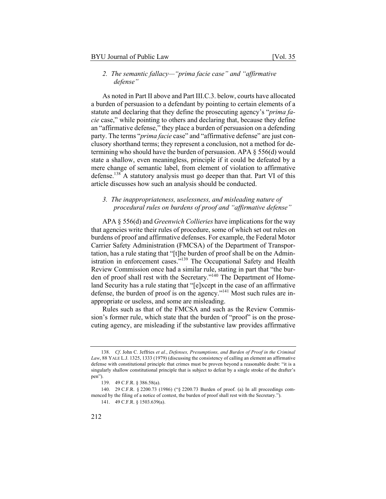#### *2. The semantic fallacy—"prima facie case" and "affirmative defense"*

As noted in Part II above and Part III.C.3. below, courts have allocated a burden of persuasion to a defendant by pointing to certain elements of a statute and declaring that they define the prosecuting agency's "*prima facie* case," while pointing to others and declaring that, because they define an "affirmative defense," they place a burden of persuasion on a defending party. The terms "*prima facie* case" and "affirmative defense" are just conclusory shorthand terms; they represent a conclusion, not a method for determining who should have the burden of persuasion. APA § 556(d) would state a shallow, even meaningless, principle if it could be defeated by a mere change of semantic label, from element of violation to affirmative defense.<sup>138</sup> A statutory analysis must go deeper than that. Part VI of this article discusses how such an analysis should be conducted.

#### *3. The inappropriateness, uselessness, and misleading nature of procedural rules on burdens of proof and "affirmative defense"*

APA § 556(d) and *Greenwich Collieries* have implications for the way that agencies write their rules of procedure, some of which set out rules on burdens of proof and affirmative defenses. For example, the Federal Motor Carrier Safety Administration (FMCSA) of the Department of Transportation, has a rule stating that "[t]he burden of proof shall be on the Administration in enforcement cases."<sup>139</sup> The Occupational Safety and Health Review Commission once had a similar rule, stating in part that "the burden of proof shall rest with the Secretary."<sup>140</sup> The Department of Homeland Security has a rule stating that "[e]xcept in the case of an affirmative defense, the burden of proof is on the agency."141 Most such rules are inappropriate or useless, and some are misleading.

Rules such as that of the FMCSA and such as the Review Commission's former rule, which state that the burden of "proof" is on the prosecuting agency, are misleading if the substantive law provides affirmative

<sup>138.</sup> *Cf*. John C. Jeffries *et al.*, *Defenses, Presumptions, and Burden of Proof in the Criminal Law*, 88 YALE L.J. 1325, 1333 (1979) (discussing the consistency of calling an element an affirmative defense with constitutional principle that crimes must be proven beyond a reasonable doubt: "it is a singularly shallow constitutional principle that is subject to defeat by a single stroke of the drafter's pen").

<sup>139.</sup> 49 C.F.R. § 386.58(a).

<sup>140.</sup> 29 C.F.R. § 2200.73 (1986) ("§ 2200.73 Burden of proof. (a) In all proceedings commenced by the filing of a notice of contest, the burden of proof shall rest with the Secretary."). 141. 49 C.F.R. § 1503.639(a).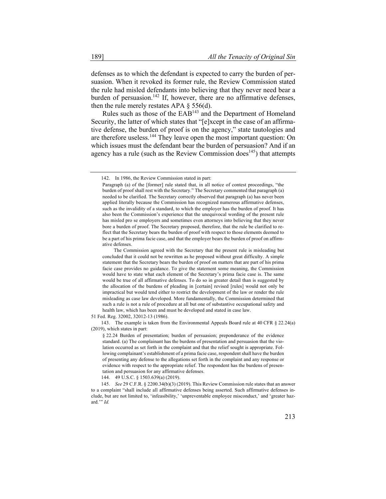defenses as to which the defendant is expected to carry the burden of persuasion. When it revoked its former rule, the Review Commission stated the rule had misled defendants into believing that they never need bear a burden of persuasion.<sup>142</sup> If, however, there are no affirmative defenses, then the rule merely restates APA  $\S$  556(d).

Rules such as those of the  $EAB<sup>143</sup>$  and the Department of Homeland Security, the latter of which states that "[e]xcept in the case of an affirmative defense, the burden of proof is on the agency," state tautologies and are therefore useless.<sup>144</sup> They leave open the most important question: On which issues must the defendant bear the burden of persuasion? And if an agency has a rule (such as the Review Commission does<sup>145</sup>) that attempts

51 Fed. Reg. 32002, 32012-13 (1986).

143. The example is taken from the Environmental Appeals Board rule at 40 CFR § 22.24(a) (2019), which states in part:

§ 22.24 Burden of presentation; burden of persuasion; preponderance of the evidence standard. (a) The complainant has the burdens of presentation and persuasion that the violation occurred as set forth in the complaint and that the relief sought is appropriate. Following complainant's establishment of a prima facie case, respondent shall have the burden of presenting any defense to the allegations set forth in the complaint and any response or evidence with respect to the appropriate relief. The respondent has the burdens of presentation and persuasion for any affirmative defenses.

144. 49 U.S.C. § 1503.639(a) (2019).

145. *See* 29 C.F.R. § 2200.34(b)(3) (2019). This Review Commission rule states that an answer to a complaint "shall include all affirmative defenses being asserted. Such affirmative defenses include, but are not limited to, 'infeasibility,' 'unpreventable employee misconduct,' and 'greater hazard.'" *Id.*

<sup>142.</sup> In 1986, the Review Commission stated in part:

Paragraph (a) of the [former] rule stated that, in all notice of contest proceedings, "the burden of proof shall rest with the Secretary." The Secretary commented that paragraph (a) needed to be clarified. The Secretary correctly observed that paragraph (a) has never been applied literally because the Commission has recognized numerous affirmative defenses, such as the invalidity of a standard, to which the employer has the burden of proof. It has also been the Commission's experience that the unequivocal wording of the present rule has misled pro se employers and sometimes even attorneys into believing that they never bore a burden of proof. The Secretary proposed, therefore, that the rule be clarified to reflect that the Secretary bears the burden of proof with respect to those elements deemed to be a part of his prima facie case, and that the employer bears the burden of proof on affirmative defenses.

The Commission agreed with the Secretary that the present rule is misleading but concluded that it could not be rewritten as he proposed without great difficulty. A simple statement that the Secretary bears the burden of proof on matters that are part of his prima facie case provides no guidance. To give the statement some meaning, the Commission would have to state what each element of the Secretary's prima facie case is. The same would be true of all affirmative defenses. To do so in greater detail than is suggested by the allocation of the burdens of pleading in [certain] revised [rules] would not only be impractical but would tend either to restrict the development of the law or render the rule misleading as case law developed. More fundamentally, the Commission determined that such a rule is not a rule of procedure at all but one of substantive occupational safety and health law, which has been and must be developed and stated in case law.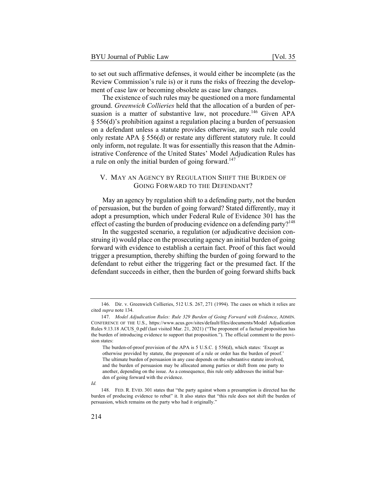to set out such affirmative defenses, it would either be incomplete (as the Review Commission's rule is) or it runs the risks of freezing the development of case law or becoming obsolete as case law changes.

The existence of such rules may be questioned on a more fundamental ground. *Greenwich Collieries* held that the allocation of a burden of persuasion is a matter of substantive law, not procedure.<sup>146</sup> Given APA § 556(d)'s prohibition against a regulation placing a burden of persuasion on a defendant unless a statute provides otherwise, any such rule could only restate APA § 556(d) or restate any different statutory rule. It could only inform, not regulate. It was for essentially this reason that the Administrative Conference of the United States' Model Adjudication Rules has a rule on only the initial burden of going forward.<sup>147</sup>

## V. MAY AN AGENCY BY REGULATION SHIFT THE BURDEN OF GOING FORWARD TO THE DEFENDANT?

May an agency by regulation shift to a defending party, not the burden of persuasion, but the burden of going forward? Stated differently, may it adopt a presumption, which under Federal Rule of Evidence 301 has the effect of casting the burden of producing evidence on a defending party?<sup>148</sup>

In the suggested scenario, a regulation (or adjudicative decision construing it) would place on the prosecuting agency an initial burden of going forward with evidence to establish a certain fact. Proof of this fact would trigger a presumption, thereby shifting the burden of going forward to the defendant to rebut either the triggering fact or the presumed fact. If the defendant succeeds in either, then the burden of going forward shifts back

<sup>146.</sup> Dir. v. Greenwich Collieries, 512 U.S. 267, 271 (1994). The cases on which it relies are cited *supra* note 134.

<sup>147.</sup> *Model Adjudication Rules: Rule 329 Burden of Going Forward with Evidence*, ADMIN. CONFERENCE OF THE U.S., https://www.acus.gov/sites/default/files/documents/Model Adjudication Rules 9.13.18 ACUS\_0.pdf (last visited Mar. 21, 2021) ("The proponent of a factual proposition has the burden of introducing evidence to support that proposition."). The official comment to the provision states:

The burden-of-proof provision of the APA is 5 U.S.C. § 556(d), which states: 'Except as otherwise provided by statute, the proponent of a rule or order has the burden of proof.' The ultimate burden of persuasion in any case depends on the substantive statute involved, and the burden of persuasion may be allocated among parties or shift from one party to another, depending on the issue. As a consequence, this rule only addresses the initial burden of going forward with the evidence.

*Id.*

<sup>148.</sup> FED. R. EVID. 301 states that "the party against whom a presumption is directed has the burden of producing evidence to rebut" it. It also states that "this rule does not shift the burden of persuasion, which remains on the party who had it originally."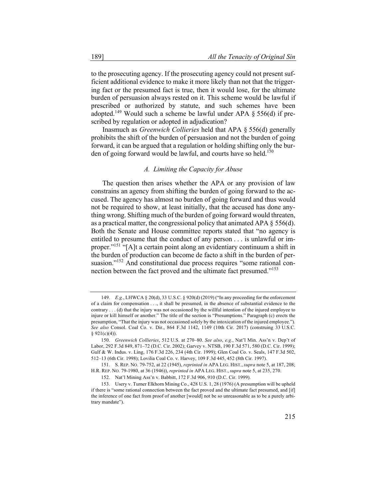to the prosecuting agency. If the prosecuting agency could not present sufficient additional evidence to make it more likely than not that the triggering fact or the presumed fact is true, then it would lose, for the ultimate burden of persuasion always rested on it. This scheme would be lawful if prescribed or authorized by statute, and such schemes have been adopted.<sup>149</sup> Would such a scheme be lawful under APA  $\S$  556(d) if prescribed by regulation or adopted in adjudication?

Inasmuch as *Greenwich Collieries* held that APA § 556(d) generally prohibits the shift of the burden of persuasion and not the burden of going forward, it can be argued that a regulation or holding shifting only the burden of going forward would be lawful, and courts have so held.<sup>150</sup>

#### *A. Limiting the Capacity for Abuse*

The question then arises whether the APA or any provision of law constrains an agency from shifting the burden of going forward to the accused. The agency has almost no burden of going forward and thus would not be required to show, at least initially, that the accused has done anything wrong. Shifting much of the burden of going forward would threaten, as a practical matter, the congressional policy that animated APA  $\S$  556(d). Both the Senate and House committee reports stated that "no agency is entitled to presume that the conduct of any person . . . is unlawful or improper."151 "[A]t a certain point along an evidentiary continuum a shift in the burden of production can become de facto a shift in the burden of persuasion."<sup>152</sup> And constitutional due process requires "some rational connection between the fact proved and the ultimate fact presumed."<sup>153</sup>

<sup>149.</sup> *E.g.*, LHWCA § 20(d), 33 U.S.C. § 920(d) (2019) ("In any proceeding for the enforcement of a claim for compensation . . ., it shall be presumed, in the absence of substantial evidence to the contrary . . . (d) that the injury was not occasioned by the willful intention of the injured employee to injure or kill himself or another." The title of the section is "Presumptions." Paragraph (c) erects the presumption, "That the injury was not occasioned solely by the intoxication of the injured employee."). *See also* Consol. Coal Co. v. Dir., 864 F.3d 1142, 1149 (10th Cir. 2017) (construing 33 U.S.C.  $§ 921(c)(4)$ ).

<sup>150.</sup> *Greenwich Collieries*, 512 U.S. at 270–80. *See also*, *e.g.*, Nat'l Min. Ass'n v. Dep't of Labor, 292 F.3d 849, 871–72 (D.C. Cir. 2002); Garvey v. NTSB, 190 F.3d 571, 580 (D.C. Cir. 1999); Gulf & W. Indus. v. Ling, 176 F.3d 226, 234 (4th Cir. 1999); Glen Coal Co. v. Seals, 147 F.3d 502, 512–13 (6th Cir. 1998); Lovilia Coal Co. v. Harvey, 109 F.3d 445, 452 (8th Cir. 1997).

<sup>151.</sup> S. REP. NO. 79-752, at 22 (1945), *reprinted in* APA LEG. HIST., *supra* note 5, at 187, 208; H.R. REP. NO. 79-1980, at 36 (1946)), *reprinted in* APA LEG. HIST., *supra* note 5, at 235, 270.

<sup>152.</sup> Nat'l Mining Ass'n v. Babbitt, 172 F.3d 906, 910 (D.C. Cir. 1999).

<sup>153.</sup> Usery v. Turner Elkhorn Mining Co., 428 U.S. 1, 28 (1976) (A presumption will be upheld if there is "some rational connection between the fact proved and the ultimate fact presumed, and [if] the inference of one fact from proof of another [would] not be so unreasonable as to be a purely arbitrary mandate").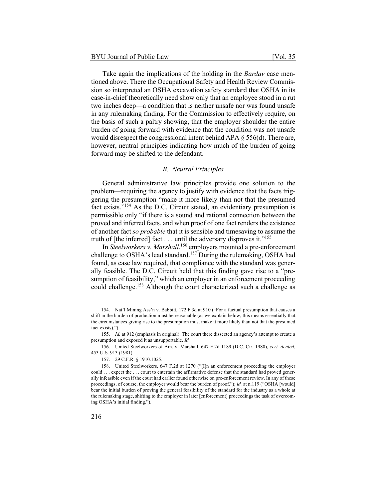Take again the implications of the holding in the *Bardav* case mentioned above. There the Occupational Safety and Health Review Commission so interpreted an OSHA excavation safety standard that OSHA in its case-in-chief theoretically need show only that an employee stood in a rut two inches deep—a condition that is neither unsafe nor was found unsafe in any rulemaking finding. For the Commission to effectively require, on the basis of such a paltry showing, that the employer shoulder the entire burden of going forward with evidence that the condition was not unsafe would disrespect the congressional intent behind APA  $\S$  556(d). There are, however, neutral principles indicating how much of the burden of going forward may be shifted to the defendant.

#### *B. Neutral Principles*

General administrative law principles provide one solution to the problem—requiring the agency to justify with evidence that the facts triggering the presumption "make it more likely than not that the presumed fact exists."<sup>154</sup> As the D.C. Circuit stated, an evidentiary presumption is permissible only "if there is a sound and rational connection between the proved and inferred facts, and when proof of one fact renders the existence of another fact *so probable* that it is sensible and timesaving to assume the truth of [the inferred] fact . . . until the adversary disproves it."<sup>155</sup>

In *Steelworkers v. Marshall*, <sup>156</sup> employers mounted a pre-enforcement challenge to OSHA's lead standard.<sup>157</sup> During the rulemaking, OSHA had found, as case law required, that compliance with the standard was generally feasible. The D.C. Circuit held that this finding gave rise to a "presumption of feasibility," which an employer in an enforcement proceeding could challenge.<sup>158</sup> Although the court characterized such a challenge as

<sup>154.</sup> Nat'l Mining Ass'n v. Babbitt, 172 F.3d at 910 ("For a factual presumption that causes a shift in the burden of production must be reasonable (as we explain below, this means essentially that the circumstances giving rise to the presumption must make it more likely than not that the presumed fact exists).").

<sup>155.</sup> *Id.* at 912 (emphasis in original). The court there dissected an agency's attempt to create a presumption and exposed it as unsupportable. *Id.*

<sup>156.</sup> United Steelworkers of Am. v. Marshall, 647 F.2d 1189 (D.C. Cir. 1980), *cert. denied*, 453 U.S. 913 (1981).

<sup>157.</sup> 29 C.F.R. § 1910.1025.

<sup>158.</sup> United Steelworkers, 647 F.2d at 1270 ("[I]n an enforcement proceeding the employer could . . . expect the . . . court to entertain the affirmative defense that the standard had proved generally infeasible even if the court had earlier found otherwise on pre-enforcement review. In any of these proceedings, of course, the employer would bear the burden of proof."); *id.* at n.119 ("OSHA [would] bear the initial burden of proving the general feasibility of the standard for the industry as a whole at the rulemaking stage, shifting to the employer in later [enforcement] proceedings the task of overcoming OSHA's initial finding.").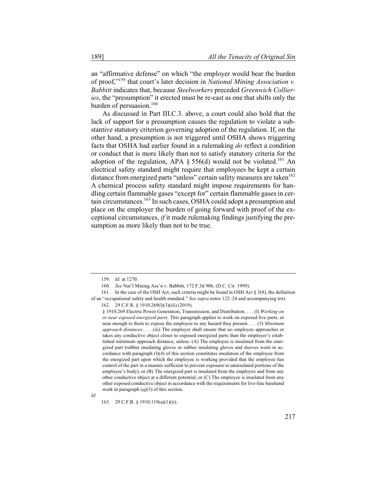an "affirmative defense" on which "the employer would bear the burden of proof,"159 that court's later decision in *National Mining Association v. Babbitt* indicates that, because *Steelworkers* preceded *Greenwich Collieries*, the "presumption" it erected must be re-cast as one that shifts only the burden of persuasion. $160$ 

As discussed in Part III.C.3. above, a court could also hold that the lack of support for a presumption causes the regulation to violate a substantive statutory criterion governing adoption of the regulation. If, on the other hand, a presumption is not triggered until OSHA shows triggering facts that OSHA had earlier found in a rulemaking *do* reflect a condition or conduct that is more likely than not to satisfy statutory criteria for the adoption of the regulation, APA § 556(d) would not be violated.<sup>161</sup> An electrical safety standard might require that employees be kept a certain distance from energized parts "unless" certain safety measures are taken  $162$ A chemical process safety standard might impose requirements for handling certain flammable gases "except for" certain flammable gases in certain circumstances.<sup>163</sup> In such cases, OSHA could adopt a presumption and place on the employer the burden of going forward with proof of the exceptional circumstances, *if* it made rulemaking findings justifying the presumption as more likely than not to be true.

<sup>159.</sup> *Id.* at 1270.

<sup>160.</sup> *See* Nat'l Mining Ass'n v. Babbitt, 172 F.3d 906, (D.C. Cir. 1999).

<sup>161.</sup> In the case of the OSH Act, such criteria might be found in OSH Act § 3(8), the definition of an "occupational safety and health standard." *See supra* notes 122–24 and accompanying text.

<sup>162.</sup> 29 C.F.R. § 1910.269(l)(3)(iii) (2019).

<sup>§</sup> 1910.269 Electric Power Generation, Transmission, and Distribution. . . . (l) *Working on or near exposed energized parts*. This paragraph applies to work on exposed live parts, or near enough to them to expose the employee to any hazard they present. . . . (3) *Minimum approach distances*. . . . (iii) The employer shall ensure that no employee approaches or takes any conductive object closer to exposed energized parts than the employer's established minimum approach distance, unless: (A) The employee is insulated from the energized part (rubber insulating gloves or rubber insulating gloves and sleeves worn in accordance with paragraph (l)(4) of this section constitutes insulation of the employee from the energized part upon which the employee is working provided that the employee has control of the part in a manner sufficient to prevent exposure to uninsulated portions of the employee's body), or (B) The energized part is insulated from the employee and from any other conductive object at a different potential, or (C) The employee is insulated from any other exposed conductive object in accordance with the requirements for live-line barehand work in paragraph (q)(3) of this section.

*Id.*

<sup>163.</sup> 29 C.F.R. § 1910.119(a)(1)(ii).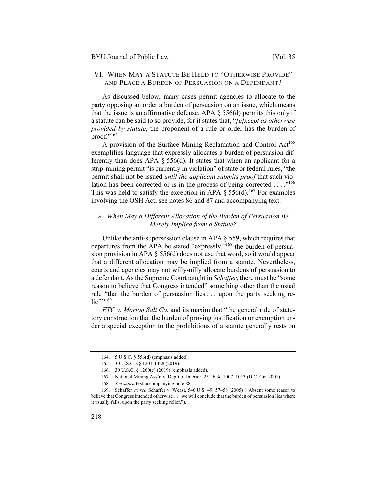#### VI. WHEN MAY A STATUTE BE HELD TO "OTHERWISE PROVIDE" AND PLACE A BURDEN OF PERSUASION ON A DEFENDANT?

As discussed below, many cases permit agencies to allocate to the party opposing an order a burden of persuasion on an issue, which means that the issue is an affirmative defense. APA  $\S$  556(d) permits this only if a statute can be said to so provide, for it states that, "*[e]xcept as otherwise provided by statute*, the proponent of a rule or order has the burden of proof."<sup>164</sup>

A provision of the Surface Mining Reclamation and Control Act<sup>165</sup> exemplifies language that expressly allocates a burden of persuasion differently than does APA  $\S$  556(d). It states that when an applicant for a strip-mining permit "is currently in violation" of state or federal rules, "the permit shall not be issued *until the applicant submits proof* that such violation has been corrected or is in the process of being corrected . . . .<sup>166</sup> This was held to satisfy the exception in APA  $\delta$  556(d).<sup>167</sup> For examples involving the OSH Act, see notes 86 and 87 and accompanying text.

#### *A. When May a Different Allocation of the Burden of Persuasion Be Merely Implied from a Statute?*

Unlike the anti-supersession clause in APA § 559, which requires that departures from the APA be stated "expressly,"168 the burden-of-persuasion provision in APA § 556(d) does not use that word, so it would appear that a different allocation may be implied from a statute. Nevertheless, courts and agencies may not willy-nilly allocate burdens of persuasion to a defendant. As the Supreme Court taught in *Schaffer*, there must be "some reason to believe that Congress intended" something other than the usual rule "that the burden of persuasion lies . . . upon the party seeking relief."<sup>169</sup>

*FTC v. Morton Salt Co.* and its maxim that "the general rule of statutory construction that the burden of proving justification or exemption under a special exception to the prohibitions of a statute generally rests on

<sup>164.</sup> 5 U.S.C. § 556(d) (emphasis added).

<sup>165.</sup> 30 U.S.C. §§ 1201-1328 (2019).

<sup>166.</sup> 30 U.S.C. § 1260(c) (2019) (emphasis added).

<sup>167.</sup> National Mining Ass'n v. Dep't of Interior, 251 F.3d 1007, 1013 (D.C. Cir. 2001).

<sup>168.</sup> *See supra* text accompanying note 88.

<sup>169.</sup> Schaffer *ex rel.* Schaffer v. Weast, 546 U.S. 49, 57–58 (2005) ("Absent some reason to believe that Congress intended otherwise . . . we will conclude that the burden of persuasion lies where it usually falls, upon the party seeking relief.").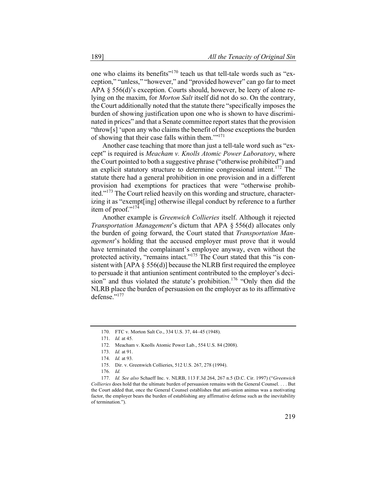one who claims its benefits"170 teach us that tell-tale words such as "exception," "unless," "however," and "provided however" can go far to meet APA § 556(d)'s exception. Courts should, however, be leery of alone relying on the maxim, for *Morton Salt* itself did not do so. On the contrary, the Court additionally noted that the statute there "specifically imposes the burden of showing justification upon one who is shown to have discriminated in prices" and that a Senate committee report states that the provision "throw[s] 'upon any who claims the benefit of those exceptions the burden of showing that their case falls within them."<sup>171</sup>

Another case teaching that more than just a tell-tale word such as "except" is required is *Meacham v. Knolls Atomic Power Laboratory*, where the Court pointed to both a suggestive phrase ("otherwise prohibited") and an explicit statutory structure to determine congressional intent.<sup>172</sup> The statute there had a general prohibition in one provision and in a different provision had exemptions for practices that were "otherwise prohibited."<sup>173</sup> The Court relied heavily on this wording and structure, characterizing it as "exempt[ing] otherwise illegal conduct by reference to a further item of proof."<sup>174</sup>

Another example is *Greenwich Collieries* itself. Although it rejected *Transportation Management*'s dictum that APA § 556(d) allocates only the burden of going forward, the Court stated that *Transportation Management*'s holding that the accused employer must prove that it would have terminated the complainant's employee anyway, even without the protected activity, "remains intact."<sup>175</sup> The Court stated that this "is consistent with [APA § 556(d)] because the NLRB first required the employee to persuade it that antiunion sentiment contributed to the employer's decision" and thus violated the statute's prohibition.<sup>176</sup> "Only then did the NLRB place the burden of persuasion on the employer as to its affirmative defense."<sup>177</sup>

<sup>170.</sup> FTC v. Morton Salt Co., 334 U.S. 37, 44–45 (1948).

<sup>171.</sup> *Id.* at 45.

<sup>172.</sup> Meacham v. Knolls Atomic Power Lab., 554 U.S. 84 (2008).

<sup>173.</sup> *Id.* at 91.

<sup>174.</sup> *Id.* at 93.

<sup>175.</sup> Dir. v. Greenwich Collieries, 512 U.S. 267, 278 (1994).

<sup>176.</sup> *Id.*

<sup>177.</sup> *Id. See also* Schaeff Inc. v. NLRB, 113 F.3d 264, 267 n.5 (D.C. Cir. 1997) ("*Greenwich Collieries* does hold that the ultimate burden of persuasion remains with the General Counsel. . . . But the Court added that, once the General Counsel establishes that anti-union animus was a motivating factor, the employer bears the burden of establishing any affirmative defense such as the inevitability of termination.").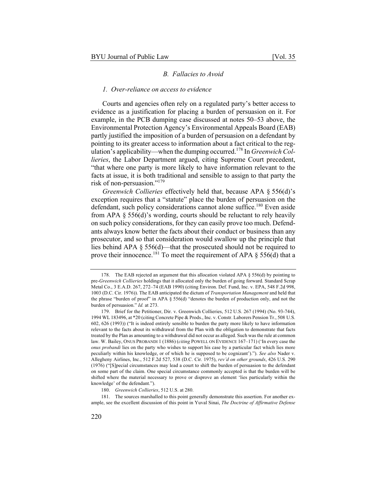#### *B. Fallacies to Avoid*

#### *1. Over-reliance on access to evidence*

Courts and agencies often rely on a regulated party's better access to evidence as a justification for placing a burden of persuasion on it. For example, in the PCB dumping case discussed at notes 50–53 above, the Environmental Protection Agency's Environmental Appeals Board (EAB) partly justified the imposition of a burden of persuasion on a defendant by pointing to its greater access to information about a fact critical to the regulation's applicability—when the dumping occurred.178 In *Greenwich Collieries*, the Labor Department argued, citing Supreme Court precedent, "that where one party is more likely to have information relevant to the facts at issue, it is both traditional and sensible to assign to that party the risk of non-persuasion."<sup>179</sup>

*Greenwich Collieries* effectively held that, because APA § 556(d)'s exception requires that a "statute" place the burden of persuasion on the defendant, such policy considerations cannot alone suffice.<sup>180</sup> Even aside from APA  $\S$  556(d)'s wording, courts should be reluctant to rely heavily on such policy considerations, for they can easily prove too much. Defendants always know better the facts about their conduct or business than any prosecutor, and so that consideration would swallow up the principle that lies behind APA § 556(d)—that the prosecuted should not be required to prove their innocence.<sup>181</sup> To meet the requirement of APA  $\S$  556(d) that a

<sup>178.</sup> The EAB rejected an argument that this allocation violated APA § 556(d) by pointing to pre-*Greenwich Collieries* holdings that it allocated only the burden of going forward. Standard Scrap Metal Co., 3 E.A.D. 267, 272–74 (EAB 1990) (citing Environ. Def. Fund, Inc. v. EPA, 548 F.2d 998, 1003 (D.C. Cir. 1976)). The EAB anticipated the dictum of *Transportation Management* and held that the phrase "burden of proof" in APA § 556(d) "denotes the burden of production only, and not the burden of persuasion." *Id.* at 273.

<sup>179.</sup> Brief for the Petitioner, Dir. v. Greenwich Collieries, 512 U.S. 267 (1994) (No. 93-744), 1994 WL 183496, at \*20 (citing Concrete Pipe & Prods., Inc. v. Constr. Laborers Pension Tr., 508 U.S. 602, 626 (1993)) ("It is indeed entirely sensible to burden the party more likely to have information relevant to the facts about its withdrawal from the Plan with the obligation to demonstrate that facts treated by the Plan as amounting to a withdrawal did not occur as alleged. Such was the rule at common law. W. Bailey, ONUS PROBANDI 1 (1886) (*citing* POWELL ON EVIDENCE 167–171) ('In every case the *onus probandi* lies on the party who wishes to support his case by a particular fact which lies more peculiarly within his knowledge, or of which he is supposed to be cognizant')."). *See also* Nader v. Allegheny Airlines, Inc., 512 F.2d 527, 538 (D.C. Cir. 1975), *rev'd on other grounds*, 426 U.S. 290 (1976) ("[S]pecial circumstances may lead a court to shift the burden of persuasion to the defendant on some part of the claim. One special circumstance commonly accepted is that the burden will be shifted where the material necessary to prove or disprove an element 'lies particularly within the knowledge' of the defendant.").

<sup>180.</sup> *Greenwich Collieries*, 512 U.S. at 280.

<sup>181.</sup> The sources marshalled to this point generally demonstrate this assertion. For another example, see the excellent discussion of this point in Yuval Sinai, *The Doctrine of Affirmative Defense*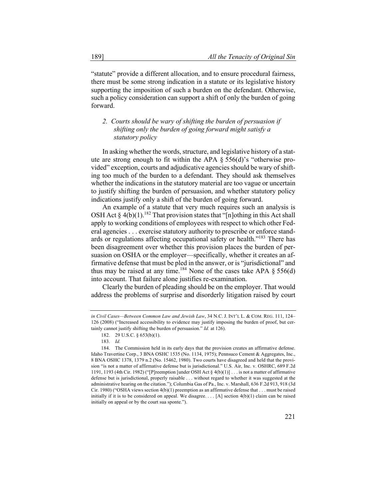"statute" provide a different allocation, and to ensure procedural fairness, there must be some strong indication in a statute or its legislative history supporting the imposition of such a burden on the defendant. Otherwise, such a policy consideration can support a shift of only the burden of going forward.

## *2. Courts should be wary of shifting the burden of persuasion if shifting only the burden of going forward might satisfy a statutory policy*

In asking whether the words, structure, and legislative history of a statute are strong enough to fit within the APA  $\S$  556(d)'s "otherwise provided" exception, courts and adjudicative agencies should be wary of shifting too much of the burden to a defendant. They should ask themselves whether the indications in the statutory material are too vague or uncertain to justify shifting the burden of persuasion, and whether statutory policy indications justify only a shift of the burden of going forward.

An example of a statute that very much requires such an analysis is OSH Act §  $4(b)(1)$ .<sup>182</sup> That provision states that "[n]othing in this Act shall apply to working conditions of employees with respect to which other Federal agencies . . . exercise statutory authority to prescribe or enforce standards or regulations affecting occupational safety or health."<sup>183</sup> There has been disagreement over whether this provision places the burden of persuasion on OSHA or the employer—specifically, whether it creates an affirmative defense that must be pled in the answer, or is "jurisdictional" and thus may be raised at any time.<sup>184</sup> None of the cases take APA  $\S$  556(d) into account. That failure alone justifies re-examination.

Clearly the burden of pleading should be on the employer. That would address the problems of surprise and disorderly litigation raised by court

*in Civil Cases—Between Common Law and Jewish Law*, 34 N.C. J. INT'L L. & COM. REG. 111, 124– 126 (2008) ("Increased accessibility to evidence may justify imposing the burden of proof, but certainly cannot justify shifting the burden of persuasion." *Id.* at 126).

<sup>182.</sup> 29 U.S.C. § 653(b)(1).

<sup>183.</sup> *Id.*

<sup>184.</sup> The Commission held in its early days that the provision creates an affirmative defense. Idaho Travertine Corp., 3 BNA OSHC 1535 (No. 1134, 1975); Pennsuco Cement & Aggregates, Inc., 8 BNA OSHC 1378, 1379 n.2 (No. 15462, 1980). Two courts have disagreed and held that the provision "is not a matter of affirmative defense but is jurisdictional." U.S. Air, Inc. v. OSHRC, 689 F.2d 1191, 1193 (4th Cir. 1982) ("[P]reemption [under OSH Act § 4(b)(1)] . . . is not a matter of affirmative defense but is jurisdictional, properly raisable . . . without regard to whether it was suggested at the administrative hearing on the citation."); Columbia Gas of Pa., Inc. v. Marshall, 636 F.2d 913, 918 (3d Cir. 1980) ("OSHA views section 4(b)(1) preemption as an affirmative defense that . . . must be raised initially if it is to be considered on appeal. We disagree...  $[A]$  section  $4(b)(1)$  claim can be raised initially on appeal or by the court sua sponte.").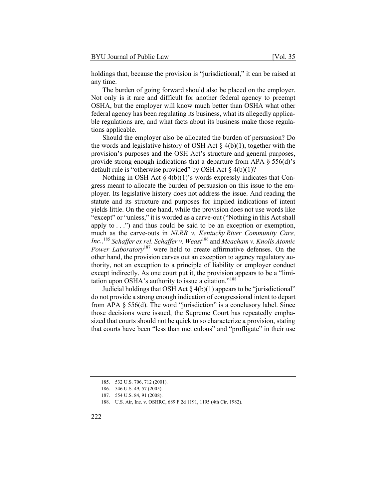holdings that, because the provision is "jurisdictional," it can be raised at any time.

The burden of going forward should also be placed on the employer. Not only is it rare and difficult for another federal agency to preempt OSHA, but the employer will know much better than OSHA what other federal agency has been regulating its business, what its allegedly applicable regulations are, and what facts about its business make those regulations applicable.

Should the employer also be allocated the burden of persuasion? Do the words and legislative history of OSH Act  $\S$  4(b)(1), together with the provision's purposes and the OSH Act's structure and general purposes, provide strong enough indications that a departure from APA § 556(d)'s default rule is "otherwise provided" by OSH Act  $\S$  4(b)(1)?

Nothing in OSH Act  $\S 4(b)(1)$ 's words expressly indicates that Congress meant to allocate the burden of persuasion on this issue to the employer. Its legislative history does not address the issue. And reading the statute and its structure and purposes for implied indications of intent yields little. On the one hand, while the provision does not use words like "except" or "unless," it is worded as a carve-out ("Nothing in this Act shall apply to . . .") and thus could be said to be an exception or exemption, much as the carve-outs in *NLRB v. Kentucky River Community Care, Inc.,*<sup>185</sup> *Schaffer ex rel. Schaffer v. Weast*<sup>186</sup> and *Meacham v. Knolls Atomic Power Laboratory*<sup>187</sup> were held to create affirmative defenses. On the other hand, the provision carves out an exception to agency regulatory authority, not an exception to a principle of liability or employer conduct except indirectly. As one court put it, the provision appears to be a "limitation upon OSHA's authority to issue a citation."<sup>188</sup>

Judicial holdings that OSH Act  $\S$  4(b)(1) appears to be "jurisdictional" do not provide a strong enough indication of congressional intent to depart from APA  $\S$  556(d). The word "jurisdiction" is a conclusory label. Since those decisions were issued, the Supreme Court has repeatedly emphasized that courts should not be quick to so characterize a provision, stating that courts have been "less than meticulous" and "profligate" in their use

<sup>185.</sup> 532 U.S. 706, 712 (2001).

<sup>186.</sup> 546 U.S. 49, 57 (2005).

<sup>187.</sup> 554 U.S. 84, 91 (2008).

<sup>188.</sup> U.S. Air, Inc. v. OSHRC, 689 F.2d 1191, 1195 (4th Cir. 1982).